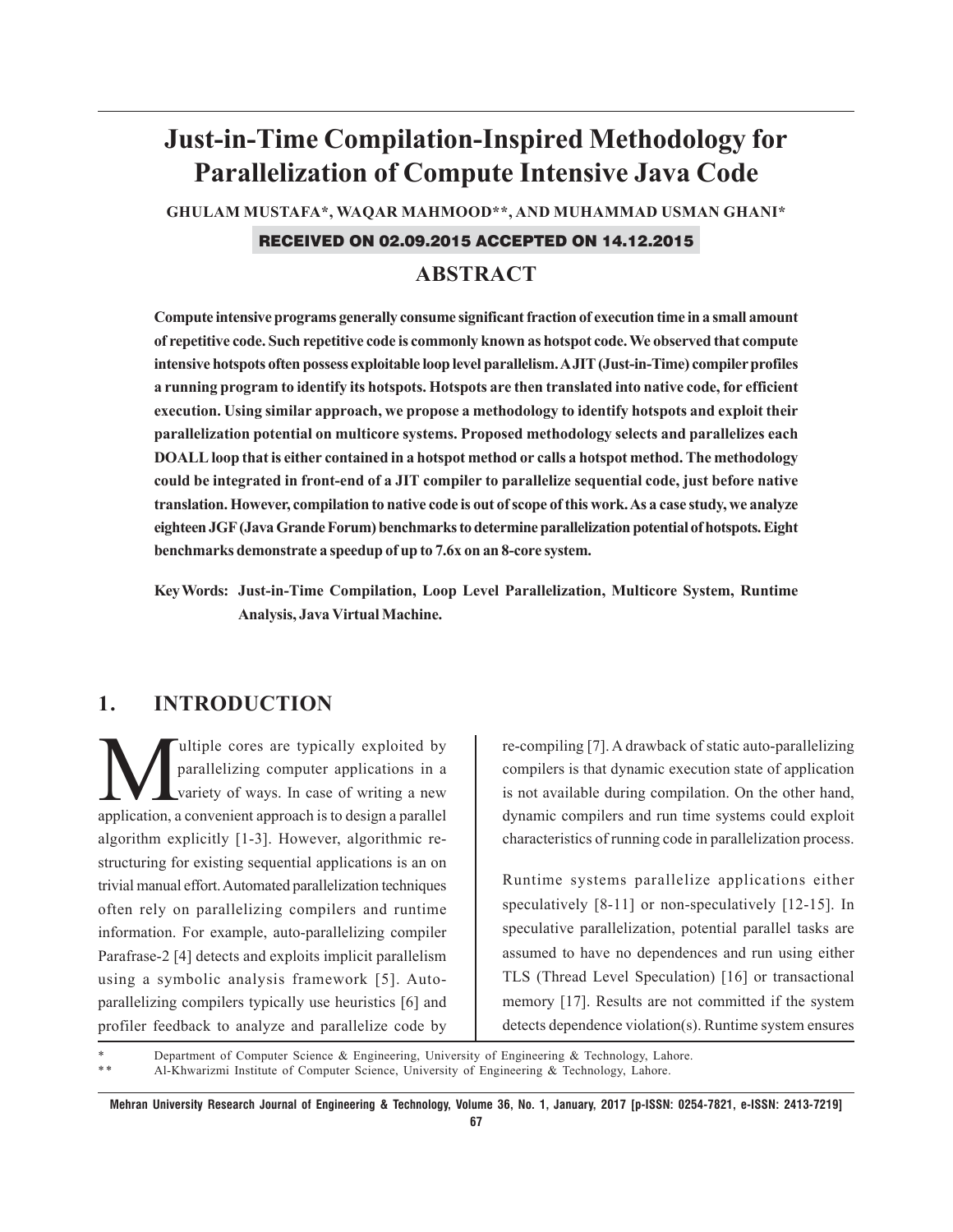# **Just-in-Time Compilation-Inspired Methodology for Parallelization of Compute Intensive Java Code**

**GHULAM MUSTAFA\*, WAQAR MAHMOOD\*\*, AND MUHAMMAD USMAN GHANI\***

#### RECEIVED ON 02.09.2015 ACCEPTED ON 14.12.2015

# **ABSTRACT**

**Compute intensive programs generally consume significant fraction of execution time in a small amount of repetitive code. Such repetitive code is commonly known as hotspot code. We observed that compute intensive hotspots often possess exploitable loop level parallelism. A JIT (Just-in-Time) compiler profiles a running program to identify its hotspots. Hotspots are then translated into native code, for efficient execution. Using similar approach, we propose a methodology to identify hotspots and exploit their parallelization potential on multicore systems. Proposed methodology selects and parallelizes each DOALL loop that is either contained in a hotspot method or calls a hotspot method. The methodology could be integrated in front-end of a JIT compiler to parallelize sequential code, just before native translation. However, compilation to native code is out of scope of this work. As a case study, we analyze eighteen JGF (Java Grande Forum) benchmarks to determine parallelization potential of hotspots. Eight benchmarks demonstrate a speedup of up to 7.6x on an 8-core system.**

**Key Words: Just-in-Time Compilation, Loop Level Parallelization, Multicore System, Runtime Analysis, Java Virtual Machine.**

## **1. INTRODUCTION**

We ultiple cores are typically exploited by<br>parallelizing computer applications in a<br>variety of ways. In case of writing a new parallelizing computer applications in a variety of ways. In case of writing a new application, a convenient approach is to design a parallel algorithm explicitly [1-3]. However, algorithmic restructuring for existing sequential applications is an on trivial manual effort. Automated parallelization techniques often rely on parallelizing compilers and runtime information. For example, auto-parallelizing compiler Parafrase-2 [4] detects and exploits implicit parallelism using a symbolic analysis framework [5]. Autoparallelizing compilers typically use heuristics [6] and profiler feedback to analyze and parallelize code by

re-compiling [7]. A drawback of static auto-parallelizing compilers is that dynamic execution state of application is not available during compilation. On the other hand, dynamic compilers and run time systems could exploit characteristics of running code in parallelization process.

Runtime systems parallelize applications either speculatively [8-11] or non-speculatively [12-15]. In speculative parallelization, potential parallel tasks are assumed to have no dependences and run using either TLS (Thread Level Speculation) [16] or transactional memory [17]. Results are not committed if the system detects dependence violation(s). Runtime system ensures

Department of Computer Science & Engineering, University of Engineering & Technology, Lahore. Al-Khwarizmi Institute of Computer Science, University of Engineering & Technology, Lahore.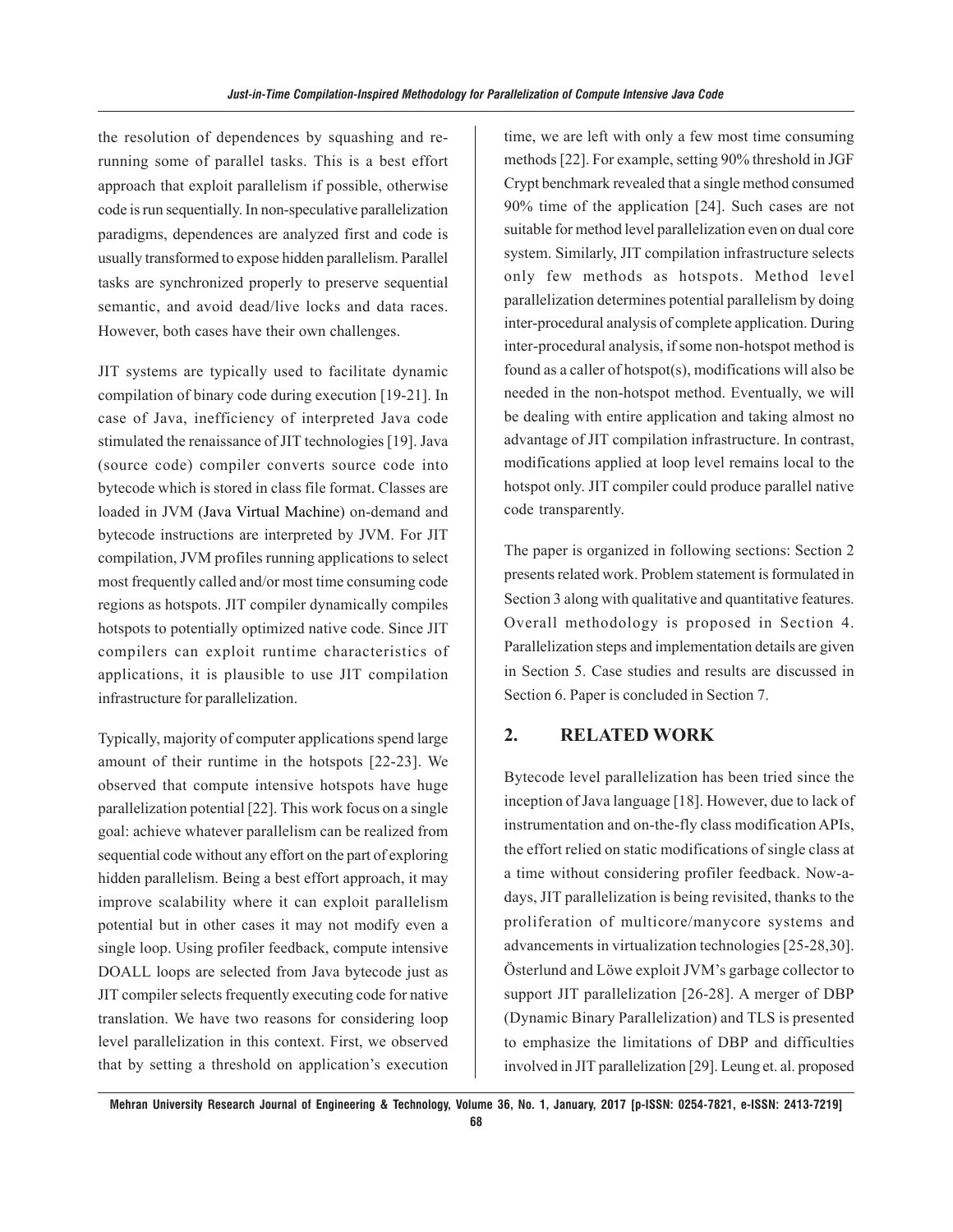the resolution of dependences by squashing and rerunning some of parallel tasks. This is a best effort approach that exploit parallelism if possible, otherwise code is run sequentially. In non-speculative parallelization paradigms, dependences are analyzed first and code is usually transformed to expose hidden parallelism. Parallel tasks are synchronized properly to preserve sequential semantic, and avoid dead/live locks and data races. However, both cases have their own challenges.

JIT systems are typically used to facilitate dynamic compilation of binary code during execution [19-21]. In case of Java, inefficiency of interpreted Java code stimulated the renaissance of JIT technologies [19]. Java (source code) compiler converts source code into bytecode which is stored in class file format. Classes are loaded in JVM (Java Virtual Machine) on-demand and bytecode instructions are interpreted by JVM. For JIT compilation, JVM profiles running applications to select most frequently called and/or most time consuming code regions as hotspots. JIT compiler dynamically compiles hotspots to potentially optimized native code. Since JIT compilers can exploit runtime characteristics of applications, it is plausible to use JIT compilation infrastructure for parallelization.

Typically, majority of computer applications spend large amount of their runtime in the hotspots [22-23]. We observed that compute intensive hotspots have huge parallelization potential [22]. This work focus on a single goal: achieve whatever parallelism can be realized from sequential code without any effort on the part of exploring hidden parallelism. Being a best effort approach, it may improve scalability where it can exploit parallelism potential but in other cases it may not modify even a single loop. Using profiler feedback, compute intensive DOALL loops are selected from Java bytecode just as JIT compiler selects frequently executing code for native translation. We have two reasons for considering loop level parallelization in this context. First, we observed that by setting a threshold on application's execution time, we are left with only a few most time consuming methods [22]. For example, setting 90% threshold in JGF Crypt benchmark revealed that a single method consumed 90% time of the application [24]. Such cases are not suitable for method level parallelization even on dual core system. Similarly, JIT compilation infrastructure selects only few methods as hotspots. Method level parallelization determines potential parallelism by doing inter-procedural analysis of complete application. During inter-procedural analysis, if some non-hotspot method is found as a caller of hotspot(s), modifications will also be needed in the non-hotspot method. Eventually, we will be dealing with entire application and taking almost no advantage of JIT compilation infrastructure. In contrast, modifications applied at loop level remains local to the hotspot only. JIT compiler could produce parallel native code transparently.

The paper is organized in following sections: Section 2 presents related work. Problem statement is formulated in Section 3 along with qualitative and quantitative features. Overall methodology is proposed in Section 4. Parallelization steps and implementation details are given in Section 5. Case studies and results are discussed in Section 6. Paper is concluded in Section 7.

## **2. RELATED WORK**

Bytecode level parallelization has been tried since the inception of Java language [18]. However, due to lack of instrumentation and on-the-fly class modification APIs, the effort relied on static modifications of single class at a time without considering profiler feedback. Now-adays, JIT parallelization is being revisited, thanks to the proliferation of multicore/manycore systems and advancements in virtualization technologies [25-28,30]. Österlund and Löwe exploit JVM's garbage collector to support JIT parallelization [26-28]. A merger of DBP (Dynamic Binary Parallelization) and TLS is presented to emphasize the limitations of DBP and difficulties involved in JIT parallelization [29]. Leung et. al. proposed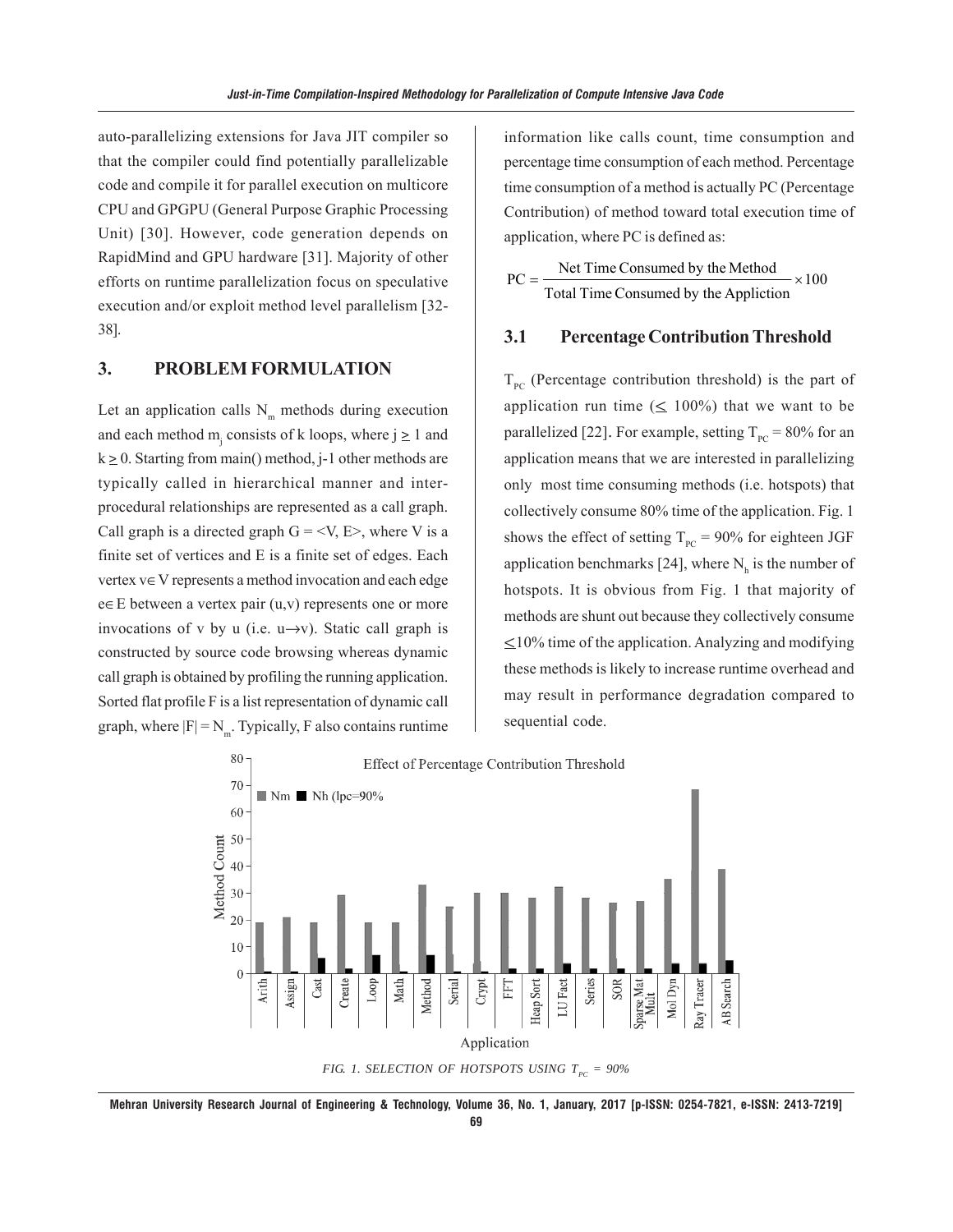auto-parallelizing extensions for Java JIT compiler so that the compiler could find potentially parallelizable code and compile it for parallel execution on multicore CPU and GPGPU (General Purpose Graphic Processing Unit) [30]. However, code generation depends on RapidMind and GPU hardware [31]. Majority of other efforts on runtime parallelization focus on speculative execution and/or exploit method level parallelism [32- 38].

## **3. PROBLEM FORMULATION**

Let an application calls  $N<sub>m</sub>$  methods during execution and each method  $m_j$  consists of k loops, where  $j \ge 1$  and  $k \ge 0$ . Starting from main() method, j-1 other methods are typically called in hierarchical manner and interprocedural relationships are represented as a call graph. Call graph is a directed graph  $G = \langle V, E \rangle$ , where V is a finite set of vertices and E is a finite set of edges. Each vertex v∈V represents a method invocation and each edge e∈E between a vertex pair (u,v) represents one or more invocations of v by u (i.e.  $u \rightarrow v$ ). Static call graph is constructed by source code browsing whereas dynamic call graph is obtained by profiling the running application. Sorted flat profile F is a list representation of dynamic call graph, where  $|F| = N_m$ . Typically, F also contains runtime

information like calls count, time consumption and percentage time consumption of each method. Percentage time consumption of a method is actually PC (Percentage Contribution) of method toward total execution time of application, where PC is defined as:

$$
PC = \frac{\text{Net Time consumed by the Method}}{\text{Total Time consumed by the Application}} \times 100
$$

## **3.1 Percentage Contribution Threshold**

 $T_{pc}$  (Percentage contribution threshold) is the part of application run time  $(\leq 100\%)$  that we want to be parallelized [22]. For example, setting  $T_{pc}$  = 80% for an application means that we are interested in parallelizing only most time consuming methods (i.e. hotspots) that collectively consume 80% time of the application. Fig. 1 shows the effect of setting  $T_{pc} = 90\%$  for eighteen JGF application benchmarks [24], where  $N_h$  is the number of hotspots. It is obvious from Fig. 1 that majority of methods are shunt out because they collectively consume  $\leq$ 10% time of the application. Analyzing and modifying these methods is likely to increase runtime overhead and may result in performance degradation compared to sequential code.



**Mehran University Research Journal of Engineering & Technology, Volume 36, No. 1, January, 2017 [p-ISSN: 0254-7821, e-ISSN: 2413-7219]**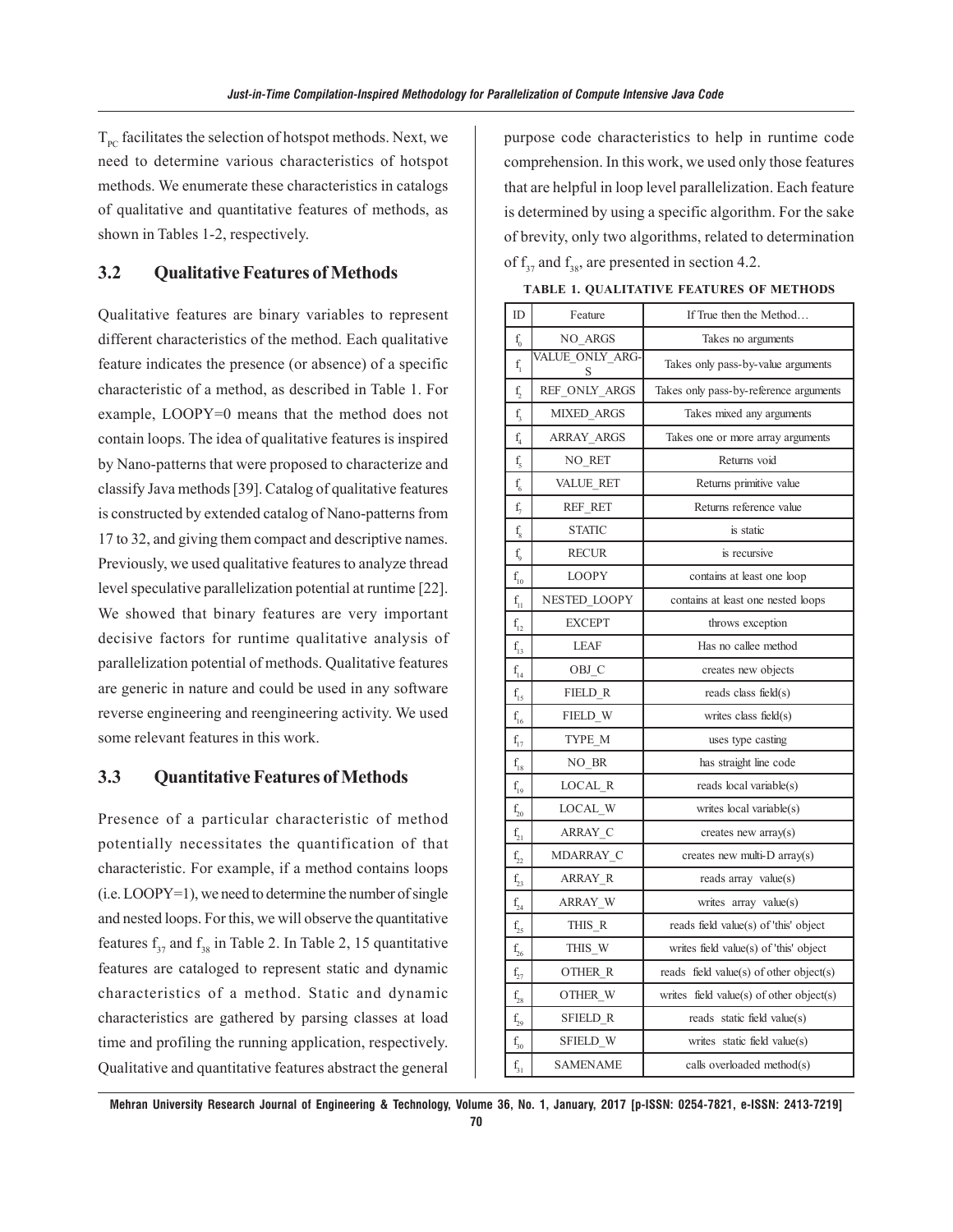$T_{pc}$  facilitates the selection of hotspot methods. Next, we need to determine various characteristics of hotspot methods. We enumerate these characteristics in catalogs of qualitative and quantitative features of methods, as shown in Tables 1-2, respectively.

#### **3.2 Qualitative Features of Methods**

Qualitative features are binary variables to represent different characteristics of the method. Each qualitative feature indicates the presence (or absence) of a specific characteristic of a method, as described in Table 1. For example, LOOPY=0 means that the method does not contain loops. The idea of qualitative features is inspired by Nano-patterns that were proposed to characterize and classify Java methods [39]. Catalog of qualitative features is constructed by extended catalog of Nano-patterns from 17 to 32, and giving them compact and descriptive names. Previously, we used qualitative features to analyze thread level speculative parallelization potential at runtime [22]. We showed that binary features are very important decisive factors for runtime qualitative analysis of parallelization potential of methods. Qualitative features are generic in nature and could be used in any software reverse engineering and reengineering activity. We used some relevant features in this work.

#### **3.3 Quantitative Features of Methods**

Presence of a particular characteristic of method potentially necessitates the quantification of that characteristic. For example, if a method contains loops (i.e. LOOPY=1), we need to determine the number of single and nested loops. For this, we will observe the quantitative features  $f_{37}$  and  $f_{38}$  in Table 2. In Table 2, 15 quantitative features are cataloged to represent static and dynamic characteristics of a method. Static and dynamic characteristics are gathered by parsing classes at load time and profiling the running application, respectively. Qualitative and quantitative features abstract the general

purpose code characteristics to help in runtime code comprehension. In this work, we used only those features that are helpful in loop level parallelization. Each feature is determined by using a specific algorithm. For the sake of brevity, only two algorithms, related to determination of  $f_{37}$  and  $f_{38}$ , are presented in section 4.2.

| ID                      | Feature              | If True then the Method                  |
|-------------------------|----------------------|------------------------------------------|
| $\mathbf{f}_\mathrm{0}$ | NO ARGS              | Takes no arguments                       |
| $f_{1}$                 | VALUE ONLY ARG-<br>S | Takes only pass-by-value arguments       |
| $f_2$                   | REF ONLY ARGS        | Takes only pass-by-reference arguments   |
| f,                      | <b>MIXED ARGS</b>    | Takes mixed any arguments                |
| $\rm f$                 | ARRAY_ARGS           | Takes one or more array arguments        |
| f <sub>5</sub>          | NO_RET               | Returns void                             |
| $\rm f_{\rm 6}$         | VALUE RET            | Returns primitive value                  |
| $f_{\gamma}$            | REF RET              | Returns reference value                  |
| $\rm f_s$               | <b>STATIC</b>        | is static                                |
| $f_{o}$                 | <b>RECUR</b>         | is recursive                             |
| $f_{10}$                | <b>LOOPY</b>         | contains at least one loop               |
| $f_{11}$                | NESTED LOOPY         | contains at least one nested loops       |
| $f_{12}$                | <b>EXCEPT</b>        | throws exception                         |
| $f_{13}$                | <b>LEAF</b>          | Has no callee method                     |
| $f_{14}$                | OBJ C                | creates new objects                      |
| $f_{15}$                | FIELD R              | reads class field $(s)$                  |
| $f_{16}$                | FIELD W              | writes class field $(s)$                 |
| $\mathbf{f}_{17}$       | TYPE M               | uses type casting                        |
| $f_{18}$                | NO BR                | has straight line code                   |
| $f_{19}$                | LOCAL R              | reads local variable(s)                  |
| $f_{20}$                | LOCAL W              | writes local variable(s)                 |
| $\mathbf{f}_{21}$       | ARRAY C              | creates new $array(s)$                   |
| $\rm f_{22}$            | MDARRAY C            | creates new multi- $D$ array(s)          |
| $f_{23}$                | ARRAY R              | reads array value(s)                     |
| $\rm f_{24}$            | ARRAY W              | writes array value(s)                    |
| $f_{25}$                | THIS R               | reads field value(s) of 'this' object    |
| $\rm f_{26}$            | THIS W               | writes field value(s) of 'this' object   |
| $\rm f_{27}$            | OTHER R              | reads field value(s) of other object(s)  |
| $f_{28}$                | OTHER W              | writes field value(s) of other object(s) |
| $f_{29}$                | SFIELD R             | reads static field value(s)              |
| $f_{30}$                | <b>SFIELD W</b>      | writes static field value(s)             |
| $f_{31}$                | <b>SAMENAME</b>      | calls overloaded method(s)               |

**TABLE 1. QUALITATIVE FEATURES OF METHODS**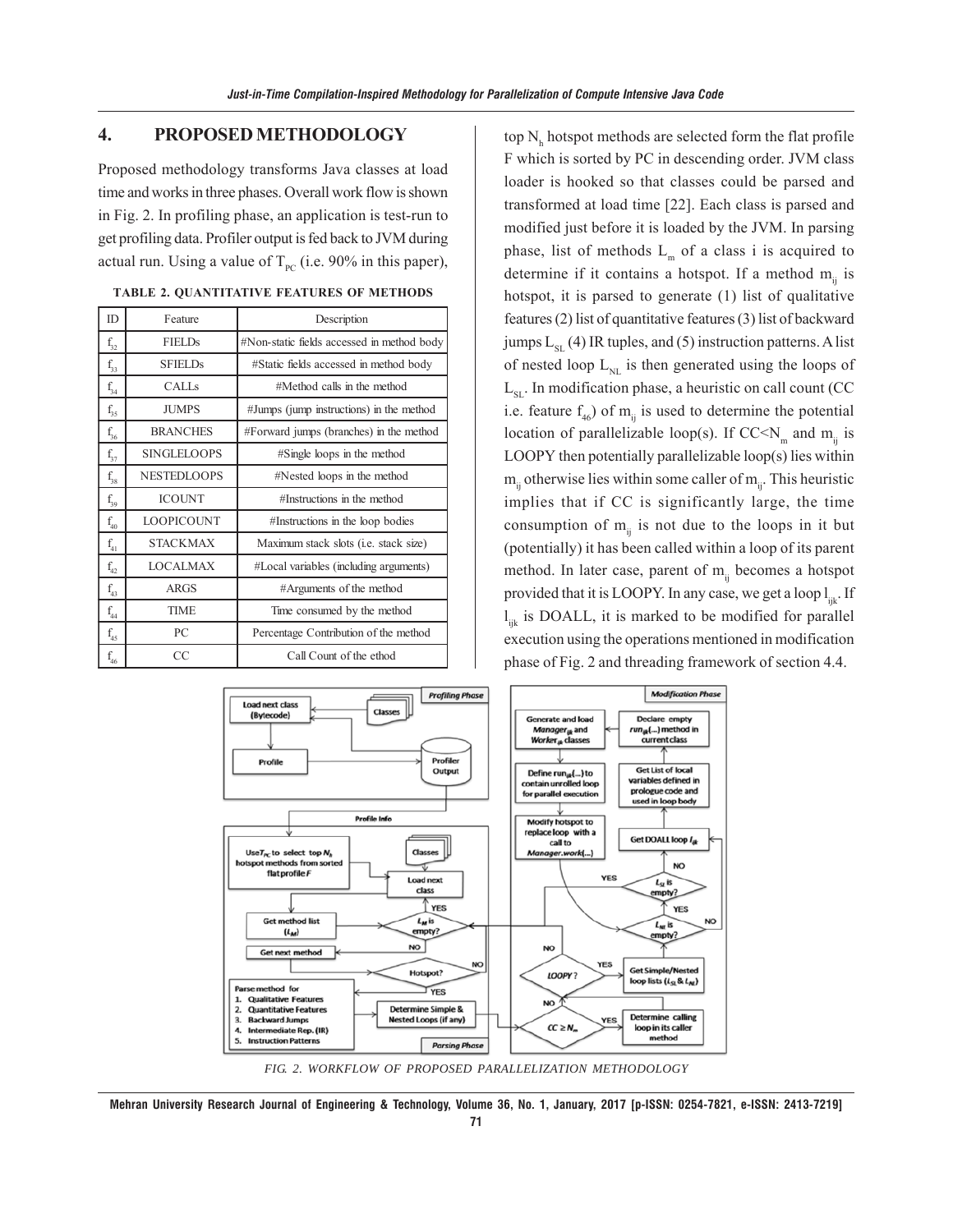#### **4. PROPOSED METHODOLOGY**

Proposed methodology transforms Java classes at load time and works in three phases. Overall work flow is shown in Fig. 2. In profiling phase, an application is test-run to get profiling data. Profiler output is fed back to JVM during actual run. Using a value of  $T_{PC}$  (i.e. 90% in this paper),

| ID.          | Feature            | Description                                |
|--------------|--------------------|--------------------------------------------|
| $f_{32}$     | <b>FIELDs</b>      | #Non-static fields accessed in method body |
| $f_{33}$     | <b>SFIELDs</b>     | #Static fields accessed in method body     |
| $f_{34}$     | CALLS              | $\#$ Method calls in the method            |
| $f_{35}$     | <b>JUMPS</b>       | #Jumps (jump instructions) in the method   |
| $f_{36}$     | <b>BRANCHES</b>    | #Forward jumps (branches) in the method    |
| $f_{37}$     | <b>SINGLELOOPS</b> | #Single loops in the method                |
| $f_{38}$     | <b>NESTEDLOOPS</b> | #Nested loops in the method                |
| $f_{39}$     | <b>ICOUNT</b>      | #Instructions in the method                |
| $f_{40}$     | <b>LOOPICOUNT</b>  | #Instructions in the loop bodies           |
| $f_{41}$     | <b>STACKMAX</b>    | Maximum stack slots (i.e. stack size)      |
| $\rm f_{42}$ | <b>LOCALMAX</b>    | #Local variables (including arguments)     |
| $\rm f_{43}$ | <b>ARGS</b>        | #Arguments of the method                   |
| $f_{44}$     | <b>TIME</b>        | Time consumed by the method                |
| $f_{45}$     | PC                 | Percentage Contribution of the method      |
| $\rm f_{46}$ | CC                 | Call Count of the ethod                    |

|  | TABLE 2. QUANTITATIVE FEATURES OF METHODS |  |  |
|--|-------------------------------------------|--|--|
|--|-------------------------------------------|--|--|

top  $\mathrm{N}_{\mathtt{h}}$  hotspot methods are selected form the flat profile F which is sorted by PC in descending order. JVM class loader is hooked so that classes could be parsed and transformed at load time [22]. Each class is parsed and modified just before it is loaded by the JVM. In parsing phase, list of methods  $L_m$  of a class i is acquired to determine if it contains a hotspot. If a method  $m_{ii}$  is hotspot, it is parsed to generate (1) list of qualitative features (2) list of quantitative features (3) list of backward jumps  $L_{ST}$  (4) IR tuples, and (5) instruction patterns. A list of nested loop  $L_{NL}$  is then generated using the loops of  $L_{\rm st}$ . In modification phase, a heuristic on call count (CC i.e. feature  $f_{46}$ ) of  $m_{ii}$  is used to determine the potential location of parallelizable loop(s). If CC<N<sub>m</sub> and m<sub>ii</sub> is LOOPY then potentially parallelizable loop(s) lies within  $m_{ii}$  otherwise lies within some caller of  $m_{ii}$ . This heuristic implies that if CC is significantly large, the time consumption of  $m_{ij}$  is not due to the loops in it but (potentially) it has been called within a loop of its parent method. In later case, parent of  $m_{ii}$  becomes a hotspot provided that it is LOOPY. In any case, we get a loop  $l_{ijk}$ . If  $l_{ijk}$  is DOALL, it is marked to be modified for parallel execution using the operations mentioned in modification phase of Fig. 2 and threading framework of section 4.4.



*FIG. 2. WORKFLOW OF PROPOSED PARALLELIZATION METHODOLOGY*

**Mehran University Research Journal of Engineering & Technology, Volume 36, No. 1, January, 2017 [p-ISSN: 0254-7821, e-ISSN: 2413-7219]**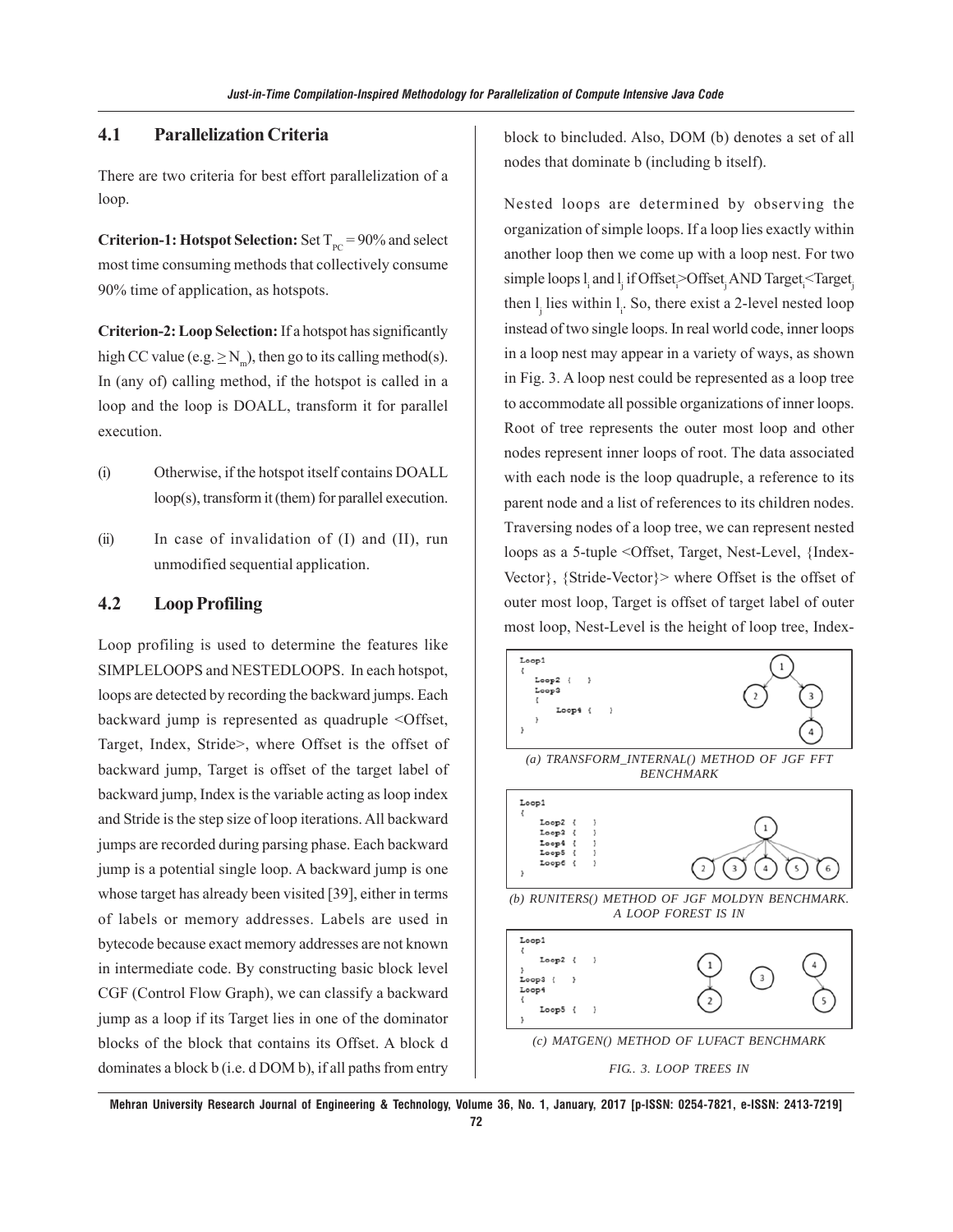## **4.1 Parallelization Criteria**

There are two criteria for best effort parallelization of a loop.

**Criterion-1: Hotspot Selection:** Set  $T_{pc} = 90\%$  and select most time consuming methods that collectively consume 90% time of application, as hotspots.

**Criterion-2: Loop Selection:** If a hotspot has significantly high CC value (e.g.  $\geq N_m$ ), then go to its calling method(s). In (any of) calling method, if the hotspot is called in a loop and the loop is DOALL, transform it for parallel execution.

- (i) Otherwise, if the hotspot itself contains DOALL loop(s), transform it (them) for parallel execution.
- (ii) In case of invalidation of (I) and (II), run unmodified sequential application.

## **4.2 Loop Profiling**

Loop profiling is used to determine the features like SIMPLELOOPS and NESTEDLOOPS. In each hotspot, loops are detected by recording the backward jumps. Each backward jump is represented as quadruple <Offset, Target, Index, Stride>, where Offset is the offset of backward jump, Target is offset of the target label of backward jump, Index is the variable acting as loop index and Stride is the step size of loop iterations. All backward jumps are recorded during parsing phase. Each backward jump is a potential single loop. A backward jump is one whose target has already been visited [39], either in terms of labels or memory addresses. Labels are used in bytecode because exact memory addresses are not known in intermediate code. By constructing basic block level CGF (Control Flow Graph), we can classify a backward jump as a loop if its Target lies in one of the dominator blocks of the block that contains its Offset. A block d dominates a block b (i.e. d DOM b), if all paths from entry

block to bincluded. Also, DOM (b) denotes a set of all nodes that dominate b (including b itself).

Nested loops are determined by observing the organization of simple loops. If a loop lies exactly within another loop then we come up with a loop nest. For two simple loops l<sub>i</sub> and l<sub>j</sub> if Offset<sub>i</sub>>Offset<sub>j</sub> AND Target<sub>i</sub><Target<sub>j</sub> then  $l_j$  lies within  $l_i$ . So, there exist a 2-level nested loop instead of two single loops. In real world code, inner loops in a loop nest may appear in a variety of ways, as shown in Fig. 3. A loop nest could be represented as a loop tree to accommodate all possible organizations of inner loops. Root of tree represents the outer most loop and other nodes represent inner loops of root. The data associated with each node is the loop quadruple, a reference to its parent node and a list of references to its children nodes. Traversing nodes of a loop tree, we can represent nested loops as a 5-tuple <Offset, Target, Nest-Level, {Index-Vector}, {Stride-Vector}> where Offset is the offset of outer most loop, Target is offset of target label of outer most loop, Nest-Level is the height of loop tree, Index-



**Mehran University Research Journal of Engineering & Technology, Volume 36, No. 1, January, 2017 [p-ISSN: 0254-7821, e-ISSN: 2413-7219] 72**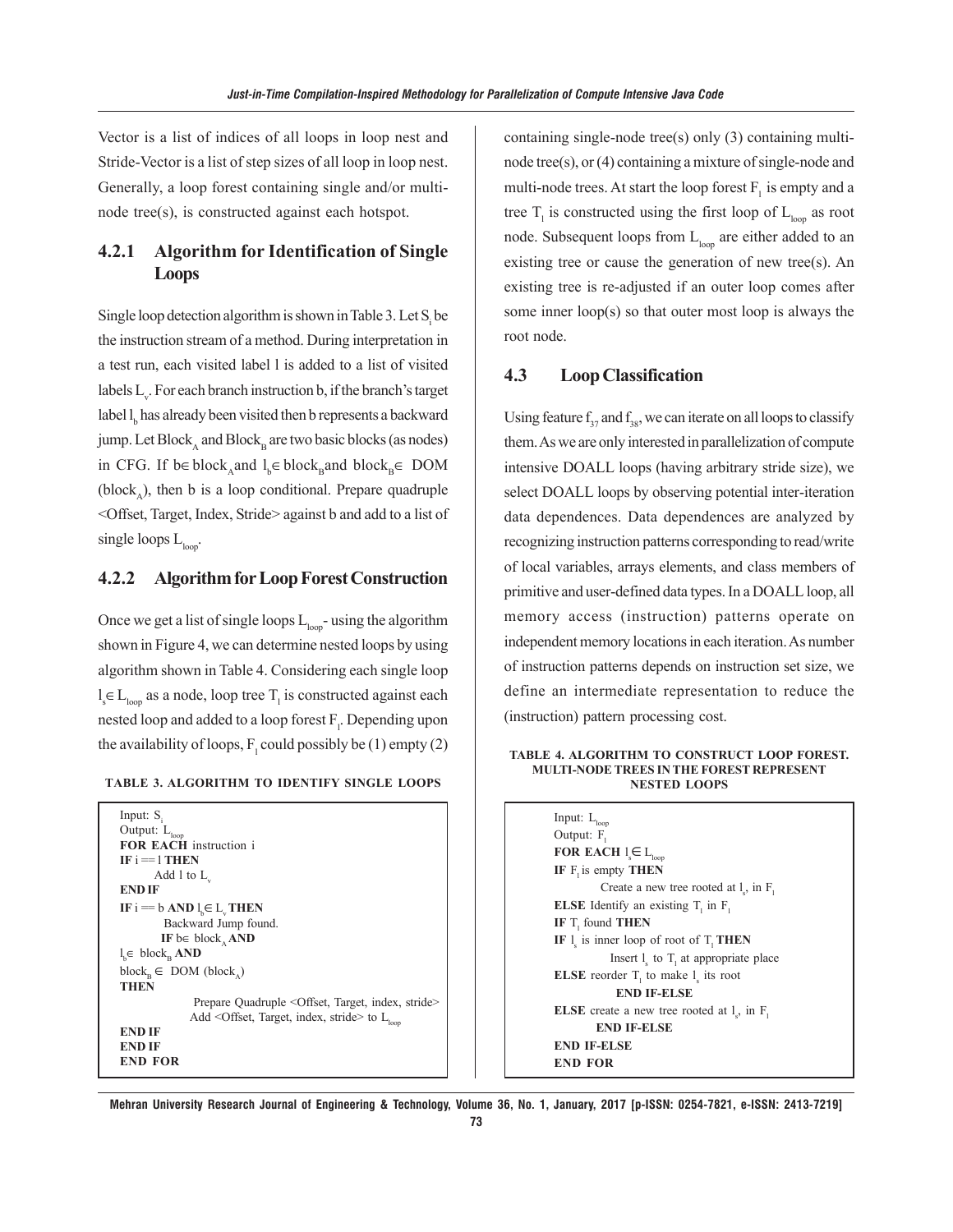Vector is a list of indices of all loops in loop nest and Stride-Vector is a list of step sizes of all loop in loop nest. Generally, a loop forest containing single and/or multinode tree(s), is constructed against each hotspot.

## **4.2.1 Algorithm for Identification of Single Loops**

Single loop detection algorithm is shown in Table 3. Let  $S_i$  be the instruction stream of a method. During interpretation in a test run, each visited label l is added to a list of visited labels  $L_{\mathcal{C}}$ . For each branch instruction b, if the branch's target label  $l_{\text{b}}$  has already been visited then b represents a backward jump. Let  $Block_{\alpha}$  and  $Block_{\alpha}$  are two basic blocks (as nodes) in CFG. If b∈ block<sub>A</sub>and  $l_b \in \text{block}_{\text{B}}$ and block<sub>B</sub>∈ DOM (block<sub> $\lambda$ </sub>), then b is a loop conditional. Prepare quadruple <Offset, Target, Index, Stride> against b and add to a list of single loops  $L_{\text{loop}}$ .

#### **4.2.2 Algorithm for Loop Forest Construction**

Once we get a list of single loops  $L_{loop}$ - using the algorithm shown in Figure 4, we can determine nested loops by using algorithm shown in Table 4. Considering each single loop  $l_s \in L_{loop}$  as a node, loop tree  $T_l$  is constructed against each nested loop and added to a loop forest  $F_1$ . Depending upon the availability of loops,  $F_1$  could possibly be (1) empty (2)

| <b>TABLE 3. ALGORITHM TO IDENTIFY SINGLE LOOPS</b> |  |  |  |
|----------------------------------------------------|--|--|--|
|----------------------------------------------------|--|--|--|

| Input: $S_i$                                                               |
|----------------------------------------------------------------------------|
| Output: L <sub>loop</sub>                                                  |
| <b>FOR EACH</b> instruction i                                              |
| $IF_i = 1 THEN$                                                            |
| Add 1 to $L$ .                                                             |
| <b>END IF</b>                                                              |
| IF $i == b$ AND $l \in L$ THEN                                             |
| Backward Jump found.                                                       |
| IF be block, AND                                                           |
| $l_{\rm k} \in \rm block_{\rm b}$ AND                                      |
| $block_{\rm b} \in$ DOM (block)                                            |
| <b>THEN</b>                                                                |
| Prepare Quadruple <offset, index,="" stride="" target,=""></offset,>       |
| Add <offset, index,="" stride="" target,=""> to L<sub>loon</sub></offset,> |
| <b>END IF</b>                                                              |
| <b>END IF</b>                                                              |
| <b>END FOR</b>                                                             |

containing single-node tree(s) only (3) containing multinode tree(s), or (4) containing a mixture of single-node and multi-node trees. At start the loop forest  $F_i$  is empty and a tree  $T_1$  is constructed using the first loop of  $L_{loop}$  as root node. Subsequent loops from  $L_{\text{loop}}$  are either added to an existing tree or cause the generation of new tree(s). An existing tree is re-adjusted if an outer loop comes after some inner loop(s) so that outer most loop is always the root node.

## **4.3 Loop Classification**

Using feature  $f_{37}$  and  $f_{38}$ , we can iterate on all loops to classify them. As we are only interested in parallelization of compute intensive DOALL loops (having arbitrary stride size), we select DOALL loops by observing potential inter-iteration data dependences. Data dependences are analyzed by recognizing instruction patterns corresponding to read/write of local variables, arrays elements, and class members of primitive and user-defined data types. In a DOALL loop, all memory access (instruction) patterns operate on independent memory locations in each iteration. As number of instruction patterns depends on instruction set size, we define an intermediate representation to reduce the (instruction) pattern processing cost.

#### **TABLE 4. ALGORITHM TO CONSTRUCT LOOP FOREST. MULTI-NODE TREES IN THE FOREST REPRESENT NESTED LOOPS**

Input:  $L_{\text{loc}}$ Output:  $F_1$ **FOR EACH**  $l_s \in L_{loop}$ **IF F** is empty **THEN** Create a new tree rooted at  $l_s$ , in  $F_l$ **ELSE** Identify an existing  $T_1$  in  $F_1$ **IF** T<sub>1</sub> found **THEN** IF  $l_s$  is inner loop of root of  $T_l$  **THEN** Insert  $l_s$  to  $T_1$  at appropriate place **ELSE** reorder  $T_1$  to make  $1_s$  its root  **END IF-ELSE ELSE** create a new tree rooted at  $l_s$ , in  $F_l$  **END IF-ELSE END IF-ELSE END FOR**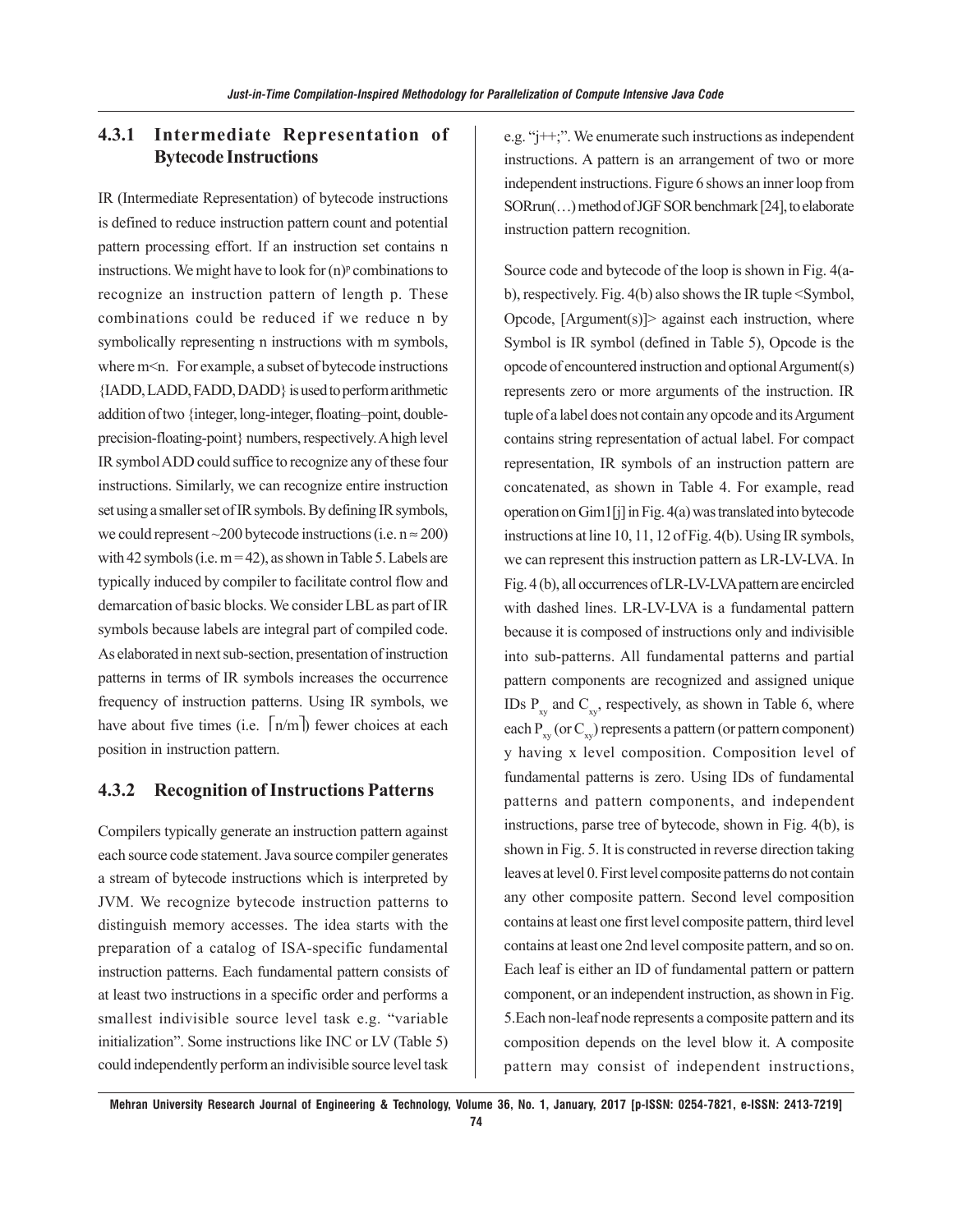## **4.3.1 Intermediate Representation of Bytecode Instructions**

IR (Intermediate Representation) of bytecode instructions is defined to reduce instruction pattern count and potential pattern processing effort. If an instruction set contains n instructions. We might have to look for  $(n)^p$  combinations to recognize an instruction pattern of length p. These combinations could be reduced if we reduce n by symbolically representing n instructions with m symbols, where m<n. For example, a subset of bytecode instructions {IADD, LADD, FADD, DADD} is used to perform arithmetic addition of two {integer, long-integer, floating–point, doubleprecision-floating-point} numbers, respectively. A high level IR symbol ADD could suffice to recognize any of these four instructions. Similarly, we can recognize entire instruction set using a smaller set of IR symbols. By defining IR symbols, we could represent ~200 bytecode instructions (i.e.  $n \approx 200$ ) with 42 symbols (i.e.  $m = 42$ ), as shown in Table 5. Labels are typically induced by compiler to facilitate control flow and demarcation of basic blocks. We consider LBL as part of IR symbols because labels are integral part of compiled code. As elaborated in next sub-section, presentation of instruction patterns in terms of IR symbols increases the occurrence frequency of instruction patterns. Using IR symbols, we have about five times (i.e.  $\lceil n/m \rceil$ ) fewer choices at each position in instruction pattern.

#### **4.3.2 Recognition of Instructions Patterns**

Compilers typically generate an instruction pattern against each source code statement. Java source compiler generates a stream of bytecode instructions which is interpreted by JVM. We recognize bytecode instruction patterns to distinguish memory accesses. The idea starts with the preparation of a catalog of ISA-specific fundamental instruction patterns. Each fundamental pattern consists of at least two instructions in a specific order and performs a smallest indivisible source level task e.g. "variable initialization". Some instructions like INC or LV (Table 5) could independently perform an indivisible source level task e.g. "j++;". We enumerate such instructions as independent instructions. A pattern is an arrangement of two or more independent instructions. Figure 6 shows an inner loop from SORrun(…) method of JGF SOR benchmark [24], to elaborate instruction pattern recognition.

Source code and bytecode of the loop is shown in Fig. 4(ab), respectively. Fig. 4(b) also shows the IR tuple <Symbol, Opcode,  $[Argument(s)]$  against each instruction, where Symbol is IR symbol (defined in Table 5), Opcode is the opcode of encountered instruction and optional Argument(s) represents zero or more arguments of the instruction. IR tuple of a label does not contain any opcode and its Argument contains string representation of actual label. For compact representation, IR symbols of an instruction pattern are concatenated, as shown in Table 4. For example, read operation on Gim1[j] in Fig. 4(a) was translated into bytecode instructions at line 10, 11, 12 of Fig. 4(b). Using IR symbols, we can represent this instruction pattern as LR-LV-LVA. In Fig. 4 (b), all occurrences of LR-LV-LVA pattern are encircled with dashed lines. LR-LV-LVA is a fundamental pattern because it is composed of instructions only and indivisible into sub-patterns. All fundamental patterns and partial pattern components are recognized and assigned unique IDs  $P_{xy}$  and  $C_{xy}$ , respectively, as shown in Table 6, where each  $P_{xy}$  (or  $C_{xy}$ ) represents a pattern (or pattern component) y having x level composition. Composition level of fundamental patterns is zero. Using IDs of fundamental patterns and pattern components, and independent instructions, parse tree of bytecode, shown in Fig. 4(b), is shown in Fig. 5. It is constructed in reverse direction taking leaves at level 0. First level composite patterns do not contain any other composite pattern. Second level composition contains at least one first level composite pattern, third level contains at least one 2nd level composite pattern, and so on. Each leaf is either an ID of fundamental pattern or pattern component, or an independent instruction, as shown in Fig. 5.Each non-leaf node represents a composite pattern and its composition depends on the level blow it. A composite pattern may consist of independent instructions,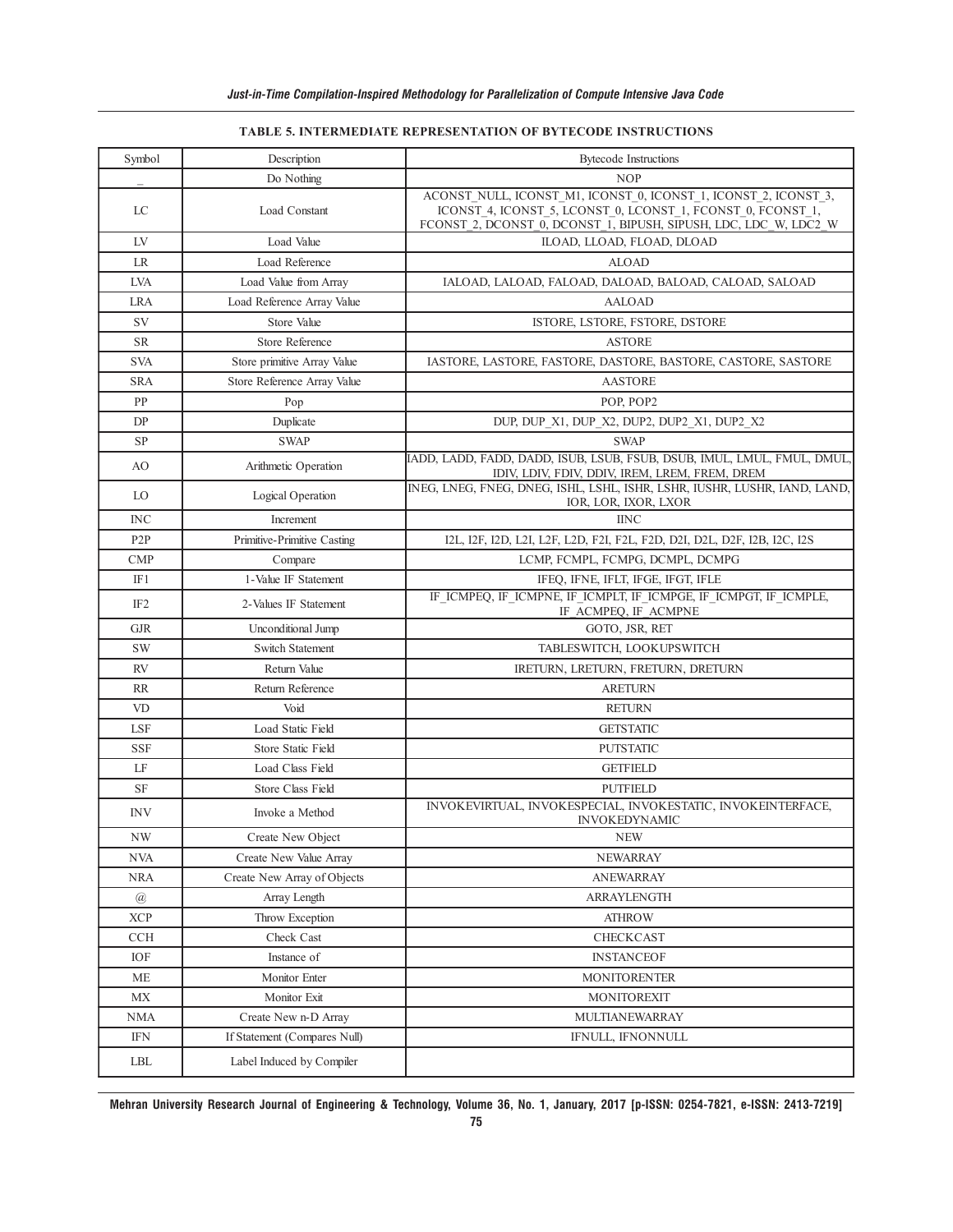#### **TABLE 5. INTERMEDIATE REPRESENTATION OF BYTECODE INSTRUCTIONS**

| Symbol                    | Description                  | <b>Bytecode Instructions</b>                                                                                                                                                                       |  |
|---------------------------|------------------------------|----------------------------------------------------------------------------------------------------------------------------------------------------------------------------------------------------|--|
|                           | Do Nothing                   | <b>NOP</b>                                                                                                                                                                                         |  |
| LC                        | Load Constant                | ACONST NULL, ICONST M1, ICONST 0, ICONST 1, ICONST 2, ICONST 3,<br>ICONST 4, ICONST 5, LCONST 0, LCONST 1, FCONST 0, FCONST 1,<br>FCONST 2, DCONST 0, DCONST 1, BIPUSH, SIPUSH, LDC, LDC W, LDC2 W |  |
| LV                        | Load Value                   | ILOAD, LLOAD, FLOAD, DLOAD                                                                                                                                                                         |  |
| LR                        | Load Reference               | <b>ALOAD</b>                                                                                                                                                                                       |  |
| LVA                       | Load Value from Array        | IALOAD, LALOAD, FALOAD, DALOAD, BALOAD, CALOAD, SALOAD                                                                                                                                             |  |
| <b>LRA</b>                | Load Reference Array Value   | <b>AALOAD</b>                                                                                                                                                                                      |  |
| SV                        | Store Value                  | ISTORE, LSTORE, FSTORE, DSTORE                                                                                                                                                                     |  |
| <b>SR</b>                 | <b>Store Reference</b>       | <b>ASTORE</b>                                                                                                                                                                                      |  |
| <b>SVA</b>                | Store primitive Array Value  | IASTORE, LASTORE, FASTORE, DASTORE, BASTORE, CASTORE, SASTORE                                                                                                                                      |  |
| SRA                       | Store Reference Array Value  | <b>AASTORE</b>                                                                                                                                                                                     |  |
| PP                        | Pop                          | POP, POP2                                                                                                                                                                                          |  |
| DP                        | Duplicate                    | DUP, DUP_X1, DUP_X2, DUP2, DUP2_X1, DUP2_X2                                                                                                                                                        |  |
| SP                        | <b>SWAP</b>                  | <b>SWAP</b>                                                                                                                                                                                        |  |
| AO                        | Arithmetic Operation         | IADD, LADD, FADD, DADD, ISUB, LSUB, FSUB, DSUB, IMUL, LMUL, FMUL, DMUL,<br>IDIV, LDIV, FDIV, DDIV, IREM, LREM, FREM, DREM                                                                          |  |
| LO                        | Logical Operation            | INEG, LNEG, FNEG, DNEG, ISHL, LSHL, ISHR, LSHR, IUSHR, LUSHR, IAND, LAND,<br>IOR, LOR, IXOR, LXOR                                                                                                  |  |
| INC                       | Increment                    | <b>IINC</b>                                                                                                                                                                                        |  |
| P <sub>2</sub> P          | Primitive-Primitive Casting  | I2L, I2F, I2D, L2I, L2F, L2D, F2I, F2L, F2D, D2I, D2L, D2F, I2B, I2C, I2S                                                                                                                          |  |
| <b>CMP</b>                | Compare                      | LCMP, FCMPL, FCMPG, DCMPL, DCMPG                                                                                                                                                                   |  |
| IF1                       | 1-Value IF Statement         | IFEQ, IFNE, IFLT, IFGE, IFGT, IFLE                                                                                                                                                                 |  |
| IF <sub>2</sub>           | 2-Values IF Statement        | IF ICMPEQ, IF_ICMPNE, IF_ICMPLT, IF_ICMPGE, IF_ICMPGT, IF_ICMPLE,<br>IF ACMPEQ, IF ACMPNE                                                                                                          |  |
| <b>GJR</b>                | Unconditional Jump           | GOTO, JSR, RET                                                                                                                                                                                     |  |
| SW                        | <b>Switch Statement</b>      | TABLESWITCH, LOOKUPSWITCH                                                                                                                                                                          |  |
| <b>RV</b>                 | Return Value                 | IRETURN, LRETURN, FRETURN, DRETURN                                                                                                                                                                 |  |
| <b>RR</b>                 | Return Reference             | <b>ARETURN</b>                                                                                                                                                                                     |  |
| VD                        | Void                         | <b>RETURN</b>                                                                                                                                                                                      |  |
| LSF                       | Load Static Field            | <b>GETSTATIC</b>                                                                                                                                                                                   |  |
| SSF                       | Store Static Field           | <b>PUTSTATIC</b>                                                                                                                                                                                   |  |
| LF                        | Load Class Field             | <b>GETFIELD</b>                                                                                                                                                                                    |  |
| SF                        | Store Class Field            | <b>PUTFIELD</b>                                                                                                                                                                                    |  |
| INV                       | Invoke a Method              | INVOKEVIRTUAL, INVOKESPECIAL, INVOKESTATIC, INVOKEINTERFACE,<br><b>INVOKEDYNAMIC</b>                                                                                                               |  |
| NW                        | Create New Object            | <b>NEW</b>                                                                                                                                                                                         |  |
| <b>NVA</b>                | Create New Value Array       | <b>NEWARRAY</b>                                                                                                                                                                                    |  |
| <b>NRA</b>                | Create New Array of Objects  | <b>ANEWARRAY</b>                                                                                                                                                                                   |  |
| $^\text{\textregistered}$ | Array Length                 | ARRAYLENGTH                                                                                                                                                                                        |  |
| <b>XCP</b>                | Throw Exception              | <b>ATHROW</b>                                                                                                                                                                                      |  |
| <b>CCH</b>                | Check Cast                   | CHECKCAST                                                                                                                                                                                          |  |
| IOF                       | Instance of                  | <b>INSTANCEOF</b>                                                                                                                                                                                  |  |
| МE                        | Monitor Enter                | <b>MONITORENTER</b>                                                                                                                                                                                |  |
| МX                        | Monitor Exit                 | MONITOREXIT                                                                                                                                                                                        |  |
| NMA                       | Create New n-D Array         | MULTIANEWARRAY                                                                                                                                                                                     |  |
| IFN                       | If Statement (Compares Null) | IFNULL, IFNONNULL                                                                                                                                                                                  |  |
| LBL                       | Label Induced by Compiler    |                                                                                                                                                                                                    |  |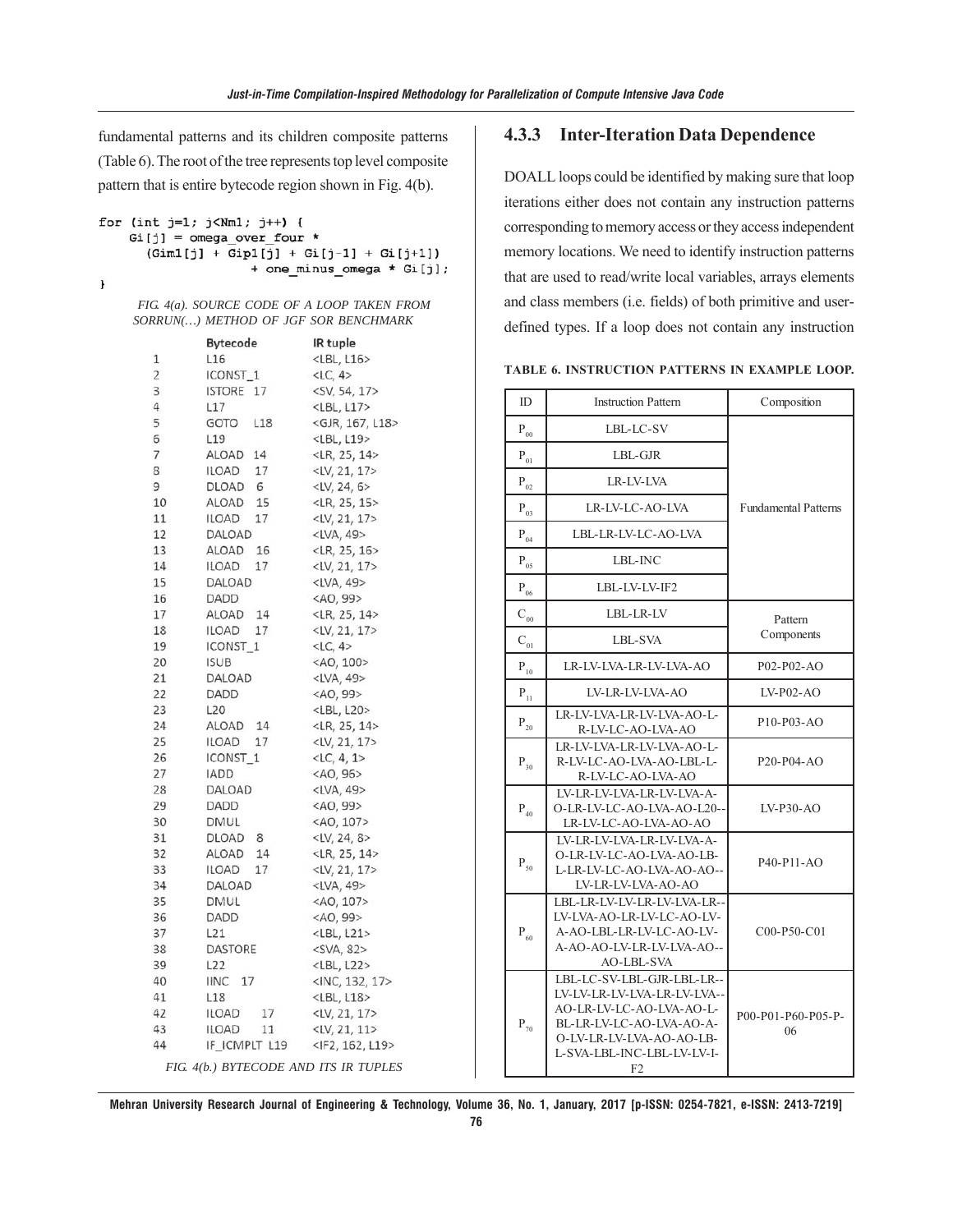fundamental patterns and its children composite patterns (Table 6). The root of the tree represents top level composite pattern that is entire bytecode region shown in Fig. 4(b).

```
for (int j=1; j< Nm1; j++) {
    Gi[j] = omega over four *
      (Gim1[j] + Gip1[j] + Gi[j-1] + Gi[j+1])+ one minus omega * Gi[j];
```
 $\mathbf{I}$ 

| FIG. 4(a). SOURCE CODE OF A LOOP TAKEN FROM |  |  |
|---------------------------------------------|--|--|
| SORRUN() METHOD OF JGF SOR BENCHMARK        |  |  |

|                | Bytecode                              | IR tuple                     |
|----------------|---------------------------------------|------------------------------|
| 1              | L <sub>16</sub>                       | $<$ LBL, L16>                |
| $\overline{2}$ | ICONST_1                              | $<$ LC, 4 $>$                |
| 3              | 17<br>ISTORE                          | <sv, 17="" 54,=""></sv,>     |
| 4              | L17                                   | $<$ LBL, L17>                |
| 5              | GOTO<br>L18                           | <gjr, 167,="" l18=""></gjr,> |
| 6              | L <sub>19</sub>                       | <lbl, l19=""></lbl,>         |
| 7              | ALOAD 14                              | <lr, 14="" 25,=""></lr,>     |
| 8              | ILOAD<br>17                           | $\langle$ LV, 21, 17>        |
| 9              | DLOAD 6                               | $<$ LV, 24, 6>               |
| 10             | ALOAD<br>15                           | $\langle$ LR, 25, 15>        |
| 11             | ILOAD<br>17                           | <lv, 17="" 21,=""></lv,>     |
| 12             | DALOAD                                | $\langle$ LVA, 49>           |
| 13             | ALOAD<br>16                           | $\langle$ LR, 25, 16>        |
| 14             | ILOAD<br>17                           | $\langle$ LV, 21, 17>        |
| 15             | DALOAD                                | <lva, 49=""></lva,>          |
| 16             | DADD                                  | <ao, 99=""></ao,>            |
| 17             | ALOAD 14                              | $<$ LR, 25, 14>              |
| 18             | ILOAD <sub>17</sub>                   | $\langle$ LV, 21, 17>        |
| 19             | ICONST_1                              | $<$ LC, 4>                   |
| 20             | <b>ISUB</b>                           | $<$ AO, 100>                 |
| 21             | DALOAD                                | <lva, 49=""></lva,>          |
| 22             | DADD                                  | $<$ AO, 99 $>$               |
| 23             | L20                                   | <lbl, l20=""></lbl,>         |
| 24             | ALOAD<br>14                           | $<$ LR, 25, 14>              |
| 25             | ILOAD<br>17                           | $<$ LV, 21, 17>              |
| 26             | ICONST <sub>1</sub>                   | $<$ LC, 4, 1>                |
| 27             | <b>IADD</b>                           | $<$ AO, 96 $>$               |
| 28             | DALOAD                                | $\langle$ LVA, 49>           |
| 29             | DADD                                  | $<$ AO, 99>                  |
| 30             | <b>DMUL</b>                           | <ao, 107=""></ao,>           |
| 31             | DLOAD<br>8                            | $<$ LV, 24, 8>               |
| 32             | ALOAD<br>14                           | $<$ LR, 25, 14>              |
| 33             | ILOAD<br>17                           | $\langle$ LV, 21, 17>        |
| 34             | <b>DALOAD</b>                         | $\langle$ LVA, 49>           |
| 35             | DMUL                                  | <ao, 107=""></ao,>           |
| 36             | DADD                                  | $<$ AO, 99 $>$               |
| 37             | L21                                   | $<$ LBL, L21>                |
| 38             | DASTORE                               | $<$ SVA, 82>                 |
| 39             | L22                                   | <lbl, l22=""></lbl,>         |
| 40             | <b>IINC</b> 17                        | $<$ INC, 132, 17>            |
| 41             | L18                                   | $<$ LBL, L18>                |
| 42             | ILOAD<br>17                           | $<$ LV, 21, 17>              |
| 43             | 11<br>ILOAD                           | $<$ LV, 21, 11>              |
| 44             | IF_ICMPLT_L19                         | <if2, 162,="" l19=""></if2,> |
|                | FIG. 4(b.) BYTECODE AND ITS IR TUPLES |                              |

#### **4.3.3 Inter-Iteration Data Dependence**

DOALL loops could be identified by making sure that loop iterations either does not contain any instruction patterns corresponding to memory access or they access independent memory locations. We need to identify instruction patterns that are used to read/write local variables, arrays elements and class members (i.e. fields) of both primitive and userdefined types. If a loop does not contain any instruction

|  | TABLE 6. INSTRUCTION PATTERNS IN EXAMPLE LOOP. |  |  |  |
|--|------------------------------------------------|--|--|--|
|--|------------------------------------------------|--|--|--|

| ID                   | <b>Instruction Pattern</b>                                                                                                                                                        | Composition                 |  |
|----------------------|-----------------------------------------------------------------------------------------------------------------------------------------------------------------------------------|-----------------------------|--|
| $P_{00}$             | LBL-LC-SV                                                                                                                                                                         |                             |  |
| $P_{01}$             | $LBL$ -GJR                                                                                                                                                                        |                             |  |
| $\mathbf{P}_{02}$    | LR-LV-LVA                                                                                                                                                                         |                             |  |
| $P_{03}$             | LR-LV-LC-AO-LVA                                                                                                                                                                   | <b>Fundamental Patterns</b> |  |
| $P_{04}$             | LBL-LR-LV-LC-AO-LVA                                                                                                                                                               |                             |  |
| $P_{05}$             | LBL-INC                                                                                                                                                                           |                             |  |
| $P_{06}$             | LBL-LV-LV-IF2                                                                                                                                                                     |                             |  |
| $C_{00}$             | LBL-LR-LV                                                                                                                                                                         | Pattern                     |  |
| $\mathbf{C}_{_{01}}$ | LBL-SVA                                                                                                                                                                           | Components                  |  |
| $\mathbf{P}_{10}$    | LR-LV-LVA-LR-LV-LVA-AO                                                                                                                                                            | $P(02-P(02-AO))$            |  |
| $P_{11}$             | LV-LR-LV-LVA-AO                                                                                                                                                                   | $LV-P02-AO$                 |  |
| $P_{20}$             | LR-LV-LVA-LR-LV-LVA-AO-L-<br>R-LV-LC-AO-LVA-AO                                                                                                                                    | P10-P03-AO                  |  |
| $P_{30}$             | LR-LV-LVA-LR-LV-LVA-AO-L-<br>R-LV-LC-AO-LVA-AO-LBL-L-<br>R-LV-LC-AO-LVA-AO                                                                                                        | $P20-P04-AO$                |  |
| $P_{40}$             | LV-LR-LV-LVA-LR-LV-LVA-A-<br>O-LR-LV-LC-AO-LVA-AO-L20--<br>LR-LV-LC-AO-LVA-AO-AO                                                                                                  | $LV-P30-AO$                 |  |
| $P_{50}$             | LV-LR-LV-LVA-LR-LV-LVA-A-<br>O-LR-LV-LC-AO-LVA-AO-LB-<br>L-LR-LV-LC-AO-LVA-AO-AO--<br>LV-LR-LV-LVA-AO-AO                                                                          | $P40-P11-AO$                |  |
| $\mathbf{P}_{60}$    | LBL-LR-LV-LV-LR-LV-LVA-LR--<br>LV-LVA-AO-LR-LV-LC-AO-LV-<br>A-AO-LBL-LR-LV-LC-AO-LV-<br>A-AO-AO-LV-LR-LV-LVA-AO--<br><b>AO-LBL-SVA</b>                                            | $COO-P50-C01$               |  |
| $\mathbf{P}_{_{70}}$ | LBL-LC-SV-LBL-GJR-LBL-LR--<br>LV-LV-LR-LV-LVA-LR-LV-LVA--<br>AO-LR-LV-LC-AO-LVA-AO-L-<br>BL-LR-LV-LC-AO-LVA-AO-A-<br>O-LV-LR-LV-LVA-AO-AO-LB-<br>L-SVA-LBL-INC-LBL-LV-LV-I-<br>F2 | P00-P01-P60-P05-P-<br>06    |  |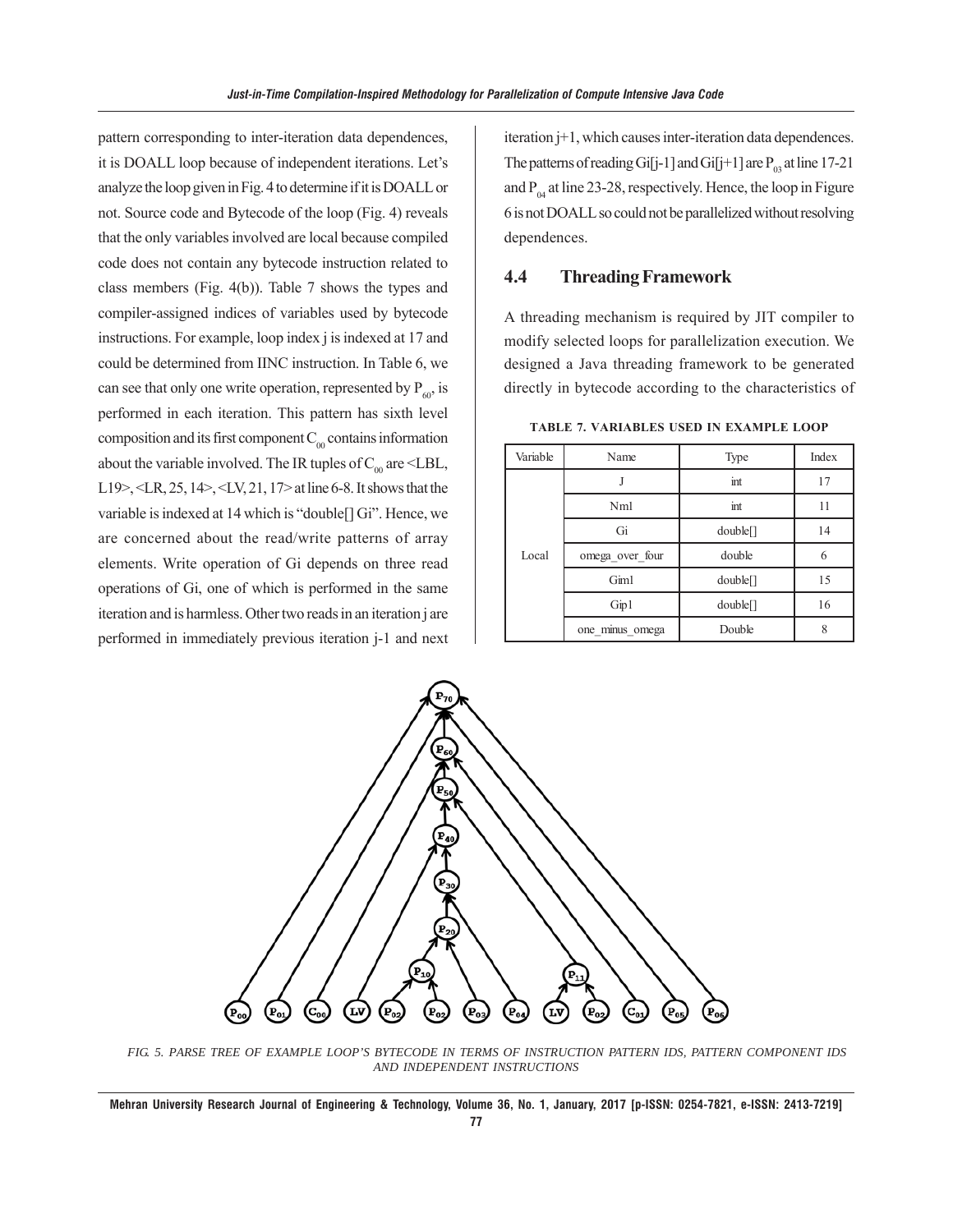pattern corresponding to inter-iteration data dependences, it is DOALL loop because of independent iterations. Let's analyze the loop given in Fig. 4 to determine if it is DOALL or not. Source code and Bytecode of the loop (Fig. 4) reveals that the only variables involved are local because compiled code does not contain any bytecode instruction related to class members (Fig. 4(b)). Table 7 shows the types and compiler-assigned indices of variables used by bytecode instructions. For example, loop index j is indexed at 17 and could be determined from IINC instruction. In Table 6, we can see that only one write operation, represented by  $P_{\alpha}$  is performed in each iteration. This pattern has sixth level composition and its first component  $C_{00}$  contains information about the variable involved. The IR tuples of  $C_{00}$  are <LBL, L19>, <LR, 25, 14>, <LV, 21, 17> at line 6-8. It shows that the variable is indexed at 14 which is "double[] Gi". Hence, we are concerned about the read/write patterns of array elements. Write operation of Gi depends on three read operations of Gi, one of which is performed in the same iteration and is harmless. Other two reads in an iteration j are performed in immediately previous iteration j-1 and next iteration j+1, which causes inter-iteration data dependences. The patterns of reading Gi[j-1] and Gi[j+1] are  $P_{03}$  at line 17-21 and  $P_{04}$  at line 23-28, respectively. Hence, the loop in Figure 6 is not DOALL so could not be parallelized without resolving dependences.

#### **4.4 Threading Framework**

A threading mechanism is required by JIT compiler to modify selected loops for parallelization execution. We designed a Java threading framework to be generated directly in bytecode according to the characteristics of

| Variable | Name            | Type     | Index |
|----------|-----------------|----------|-------|
|          |                 | int      | 17    |
|          | Nm <sub>1</sub> | int      | 11    |
| Local    | Gi              | double[] | 14    |
|          | omega over four | double   | 6     |
|          | Gim1            | double[] | 15    |
|          | Gip1            | double[] | 16    |
|          | one_minus_omega | Double   | 8     |

**TABLE 7. VARIABLES USED IN EXAMPLE LOOP**



*FIG. 5. PARSE TREE OF EXAMPLE LOOP'S BYTECODE IN TERMS OF INSTRUCTION PATTERN IDS, PATTERN COMPONENT IDS AND INDEPENDENT INSTRUCTIONS*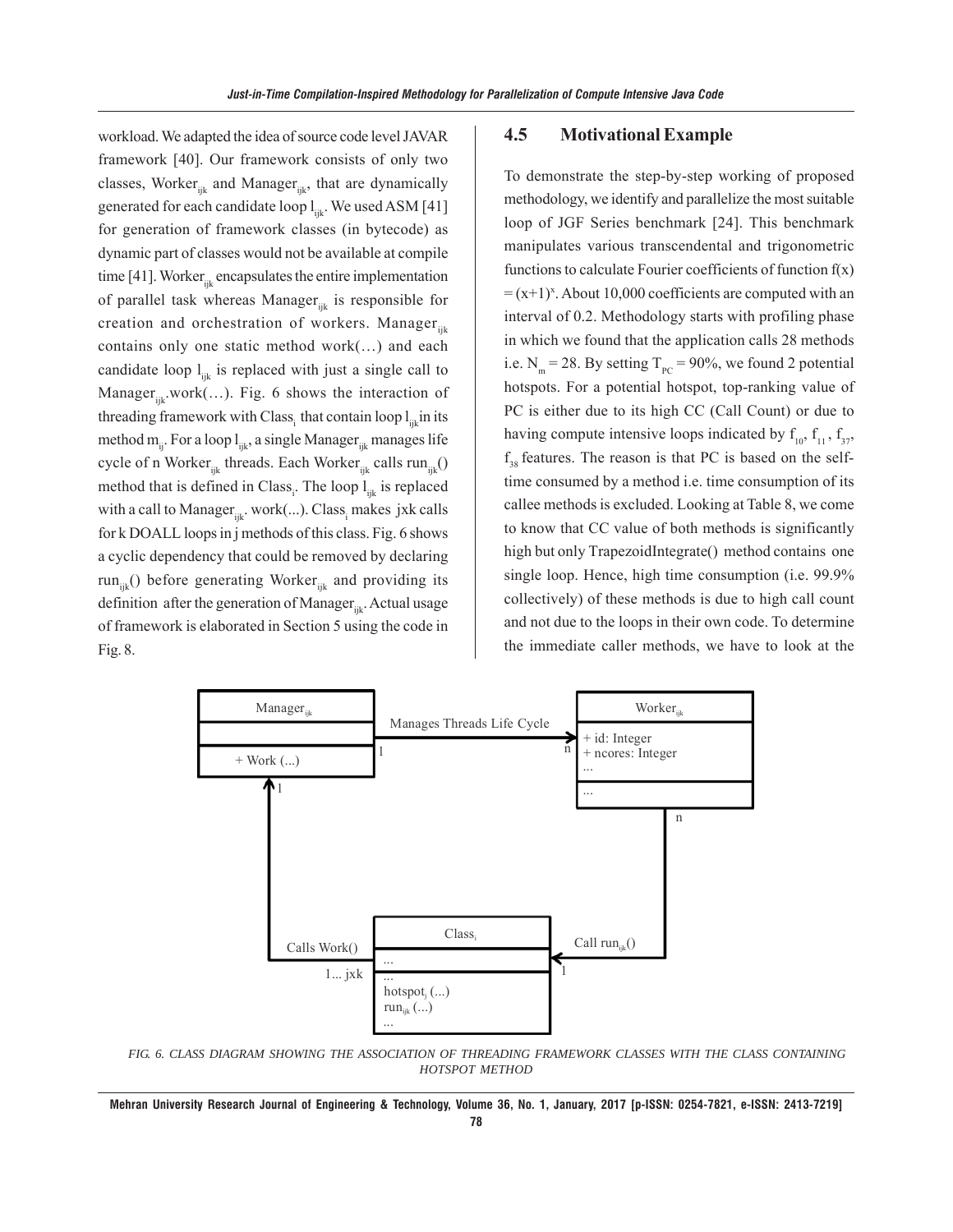workload. We adapted the idea of source code level JAVAR framework [40]. Our framework consists of only two classes, Worker $_{ijk}$  and Manager $_{ijk}$ , that are dynamically generated for each candidate loop  $l_{i,k}$ . We used ASM [41] for generation of framework classes (in bytecode) as dynamic part of classes would not be available at compile time [41]. Worker $_{\text{int}}$  encapsulates the entire implementation of parallel task whereas Manager $_{ijk}$  is responsible for creation and orchestration of workers. Manager $_{ijk}$ contains only one static method work(…) and each candidate loop  $l_{ijk}$  is replaced with just a single call to Manager $_{\rm in}$ .work(...). Fig. 6 shows the interaction of threading framework with Class, that contain loop  $l_{in}$  in its method  $m_{ii}$ . For a loop  $l_{iik}$ , a single Manager<sub>iik</sub> manages life cycle of n Worker<sub>ijk</sub> threads. Each Worker<sub>ijk</sub> calls run<sub>ijk</sub>() method that is defined in Class<sub>i</sub>. The loop l<sub>ijk</sub> is replaced with a call to Manager $_{ijk}$ . work $(...)$ . Class, makes jxk calls for k DOALL loops in j methods of this class. Fig. 6 shows a cyclic dependency that could be removed by declaring run<sub>iik</sub>() before generating Worker<sub>iik</sub> and providing its definition after the generation of Manager $_{ijk}$ . Actual usage of framework is elaborated in Section 5 using the code in Fig. 8.

#### **4.5 Motivational Example**

To demonstrate the step-by-step working of proposed methodology, we identify and parallelize the most suitable loop of JGF Series benchmark [24]. This benchmark manipulates various transcendental and trigonometric functions to calculate Fourier coefficients of function  $f(x)$  $= (x+1)^x$ . About 10,000 coefficients are computed with an interval of 0.2. Methodology starts with profiling phase in which we found that the application calls 28 methods i.e.  $N_m = 28$ . By setting  $T_{pc} = 90\%$ , we found 2 potential hotspots. For a potential hotspot, top-ranking value of PC is either due to its high CC (Call Count) or due to having compute intensive loops indicated by  $f_{10}$ ,  $f_{11}$ ,  $f_{37}$ , f<sub>38</sub> features. The reason is that PC is based on the selftime consumed by a method i.e. time consumption of its callee methods is excluded. Looking at Table 8, we come to know that CC value of both methods is significantly high but only TrapezoidIntegrate() method contains one single loop. Hence, high time consumption (i.e. 99.9% collectively) of these methods is due to high call count and not due to the loops in their own code. To determine the immediate caller methods, we have to look at the



*FIG. 6. CLASS DIAGRAM SHOWING THE ASSOCIATION OF THREADING FRAMEWORK CLASSES WITH THE CLASS CONTAINING HOTSPOT METHOD*

**Mehran University Research Journal of Engineering & Technology, Volume 36, No. 1, January, 2017 [p-ISSN: 0254-7821, e-ISSN: 2413-7219] 78**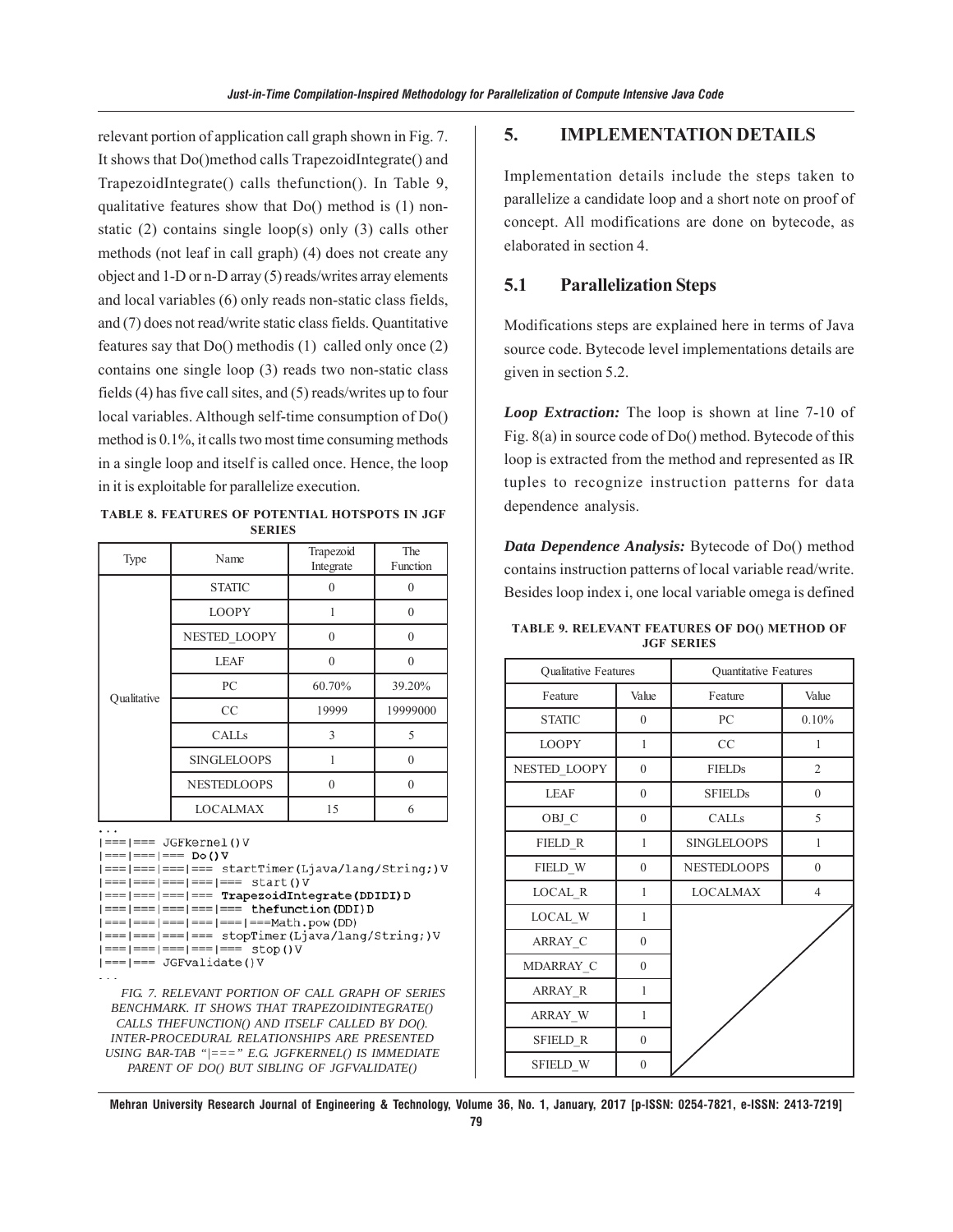relevant portion of application call graph shown in Fig. 7. It shows that Do()method calls TrapezoidIntegrate() and TrapezoidIntegrate() calls thefunction(). In Table 9, qualitative features show that Do() method is (1) nonstatic (2) contains single loop(s) only (3) calls other methods (not leaf in call graph) (4) does not create any object and 1-D or n-D array (5) reads/writes array elements and local variables (6) only reads non-static class fields, and (7) does not read/write static class fields. Quantitative features say that Do() methodis (1) called only once (2) contains one single loop (3) reads two non-static class fields (4) has five call sites, and (5) reads/writes up to four local variables. Although self-time consumption of Do() method is 0.1%, it calls two most time consuming methods in a single loop and itself is called once. Hence, the loop in it is exploitable for parallelize execution.

**TABLE 8. FEATURES OF POTENTIAL HOTSPOTS IN JGF SERIES**

| Type        | Name               | Trapezoid<br>Integrate | The<br>Function |
|-------------|--------------------|------------------------|-----------------|
|             | <b>STATIC</b>      | ∩                      |                 |
|             | <b>LOOPY</b>       |                        | $\theta$        |
|             | NESTED LOOPY       | $\Omega$               | $\Omega$        |
|             | <b>LEAF</b>        | $\Omega$               | $\Omega$        |
|             | PC                 | 60.70%                 | 39.20%          |
| Oualitative | CC                 | 19999                  | 19999000        |
|             | CALLS              | 3                      | 5               |
|             | <b>SINGLELOOPS</b> | 1                      | $\Omega$        |
|             | <b>NESTEDLOOPS</b> | $\Omega$               | $\Omega$        |
|             | <b>LOCALMAX</b>    | 15                     | 6               |

 $| == | == JGFkernel() V$ 

 $| == | == | == Do() V$ 

```
| === | === | === | === startTimer(Ljava/lang/String;) V
| == | == | == | == | ==  start()V| === | === | === | === TrapezoidIntegrate (DDIDI) D
| == | == | == | == | == the function (DDI) D
| == | == | == | == | == | == |  \nexists 1 | == | == | == |  \nexists 2 | == | == |  \nexists 3 | == |  \nexists 4 | == |  \nexists 5 | == |  \nexists 6 | == |  \nexists 7 | == |  \nexists 8 | == |  \nexists 7 | == |  \nexists 8 | == |  \nexists 9 | == |  \nexists 1 | == |  \nexists 1 | == |  \nexists 1 | == |  \nexists 1 | == |  \nexists 1 | == |  \nexists 1 | == |  \nexists 1 | == |  \nexists 1 | == |  \nexists 1 | == |  \nexists 1 | == |  \nexists 1 | == |  \n| === | === | === | === stopTimer(Ljava/lang/String;) V
| == | == | == | == | == | ==  stop () V
```
 $| == | == JGFvalidade() V$ 

*FIG. 7. RELEVANT PORTION OF CALL GRAPH OF SERIES BENCHMARK. IT SHOWS THAT TRAPEZOIDINTEGRATE() CALLS THEFUNCTION() AND ITSELF CALLED BY DO(). INTER-PROCEDURAL RELATIONSHIPS ARE PRESENTED USING BAR-TAB "|===" E.G. JGFKERNEL() IS IMMEDIATE PARENT OF DO() BUT SIBLING OF JGFVALIDATE()*

#### **5. IMPLEMENTATION DETAILS**

Implementation details include the steps taken to parallelize a candidate loop and a short note on proof of concept. All modifications are done on bytecode, as elaborated in section 4.

## **5.1 Parallelization Steps**

Modifications steps are explained here in terms of Java source code. Bytecode level implementations details are given in section 5.2.

*Loop Extraction:* The loop is shown at line 7-10 of Fig. 8(a) in source code of Do() method. Bytecode of this loop is extracted from the method and represented as IR tuples to recognize instruction patterns for data dependence analysis.

*Data Dependence Analysis:* Bytecode of Do() method contains instruction patterns of local variable read/write. Besides loop index i, one local variable omega is defined

**TABLE 9. RELEVANT FEATURES OF DO() METHOD OF JGF SERIES**

| Qualitative Features |                  | Quantitative Features |                |  |  |  |  |
|----------------------|------------------|-----------------------|----------------|--|--|--|--|
| Feature              | Value            | Feature               | Value          |  |  |  |  |
| <b>STATIC</b>        | $\overline{0}$   | PC                    | 0.10%          |  |  |  |  |
| <b>LOOPY</b>         | 1                | CC                    | 1              |  |  |  |  |
| NESTED_LOOPY         | $\mathbf{0}$     | <b>FIELDs</b>         | $\overline{2}$ |  |  |  |  |
| <b>LEAF</b>          | $\boldsymbol{0}$ | <b>SFIELDs</b>        | $\overline{0}$ |  |  |  |  |
| OBJ C                | $\boldsymbol{0}$ | <b>CALLS</b>          | 5              |  |  |  |  |
| FIELD R              | 1                | <b>SINGLELOOPS</b>    | $\mathbf{1}$   |  |  |  |  |
| FIELD W              | $\mathbf{0}$     | <b>NESTEDLOOPS</b>    | $\mathbf{0}$   |  |  |  |  |
| LOCAL R              | 1                | <b>LOCALMAX</b>       | $\overline{4}$ |  |  |  |  |
| LOCAL_W              | 1                |                       |                |  |  |  |  |
| ARRAY C              | $\mathbf{0}$     |                       |                |  |  |  |  |
| MDARRAY C            | $\boldsymbol{0}$ |                       |                |  |  |  |  |
| ARRAY R              | 1                |                       |                |  |  |  |  |
| ARRAY_W              | 1                |                       |                |  |  |  |  |
| SFIELD_R             | $\boldsymbol{0}$ |                       |                |  |  |  |  |
| SFIELD_W             | $\mathbf{0}$     |                       |                |  |  |  |  |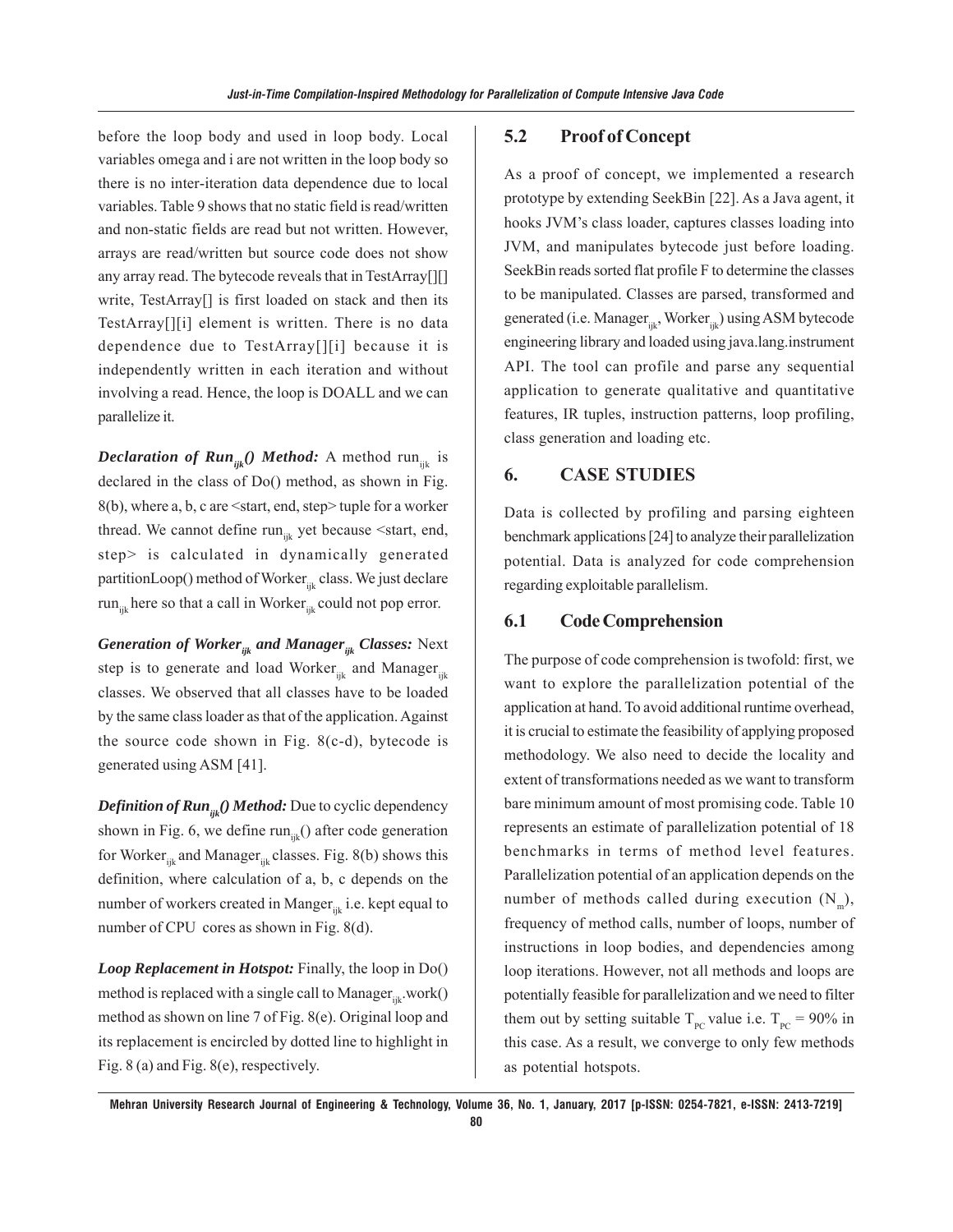before the loop body and used in loop body. Local variables omega and i are not written in the loop body so there is no inter-iteration data dependence due to local variables. Table 9 shows that no static field is read/written and non-static fields are read but not written. However, arrays are read/written but source code does not show any array read. The bytecode reveals that in TestArray[][] write, TestArray[] is first loaded on stack and then its TestArray[][i] element is written. There is no data dependence due to TestArray[][i] because it is independently written in each iteration and without involving a read. Hence, the loop is DOALL and we can parallelize it.

*Declaration of Run<sub>ijk</sub>*() *Method:* A method run<sub>ijk</sub> is declared in the class of Do() method, as shown in Fig. 8(b), where a, b, c are <start, end, step> tuple for a worker thread. We cannot define  $run_{ijk}$  yet because  $\leq$ start, end, step> is calculated in dynamically generated partitionLoop() method of Worker<sub>ijk</sub> class. We just declare run<sub>ijk</sub> here so that a call in Worker<sub>ijk</sub> could not pop error.

*Generation of Worker<sub>ijk</sub> and Manager<sub>ijk</sub> Classes: Next* step is to generate and load Worker<sub>ijk</sub> and Manager<sub>ijk</sub> classes. We observed that all classes have to be loaded by the same class loader as that of the application. Against the source code shown in Fig.  $8(c-d)$ , bytecode is generated using ASM [41].

*Definition of Run<sub>ik</sub>() Method:* Due to cyclic dependency shown in Fig. 6, we define  $run_{ijk}$ () after code generation for Worker $_{ijk}$  and Manager $_{ijk}$  classes. Fig. 8(b) shows this definition, where calculation of a, b, c depends on the number of workers created in Manger $_{ijk}$  i.e. kept equal to number of CPU cores as shown in Fig. 8(d).

*Loop Replacement in Hotspot:* Finally, the loop in Do() method is replaced with a single call to Manager $_{ik}$ .work() method as shown on line 7 of Fig. 8(e). Original loop and its replacement is encircled by dotted line to highlight in Fig. 8 (a) and Fig. 8(e), respectively.

## **5.2 Proof of Concept**

As a proof of concept, we implemented a research prototype by extending SeekBin [22]. As a Java agent, it hooks JVM's class loader, captures classes loading into JVM, and manipulates bytecode just before loading. SeekBin reads sorted flat profile F to determine the classes to be manipulated. Classes are parsed, transformed and generated (i.e. Manager<sub>iik</sub>, Worker<sub>iik</sub>) using ASM bytecode engineering library and loaded using java.lang.instrument API. The tool can profile and parse any sequential application to generate qualitative and quantitative features, IR tuples, instruction patterns, loop profiling, class generation and loading etc.

## **6. CASE STUDIES**

Data is collected by profiling and parsing eighteen benchmark applications [24] to analyze their parallelization potential. Data is analyzed for code comprehension regarding exploitable parallelism.

#### **6.1 Code Comprehension**

The purpose of code comprehension is twofold: first, we want to explore the parallelization potential of the application at hand. To avoid additional runtime overhead, it is crucial to estimate the feasibility of applying proposed methodology. We also need to decide the locality and extent of transformations needed as we want to transform bare minimum amount of most promising code. Table 10 represents an estimate of parallelization potential of 18 benchmarks in terms of method level features. Parallelization potential of an application depends on the number of methods called during execution  $(N_m)$ , frequency of method calls, number of loops, number of instructions in loop bodies, and dependencies among loop iterations. However, not all methods and loops are potentially feasible for parallelization and we need to filter them out by setting suitable  $T_{pc}$  value i.e.  $T_{pc}$  = 90% in this case. As a result, we converge to only few methods as potential hotspots.

**Mehran University Research Journal of Engineering & Technology, Volume 36, No. 1, January, 2017 [p-ISSN: 0254-7821, e-ISSN: 2413-7219]**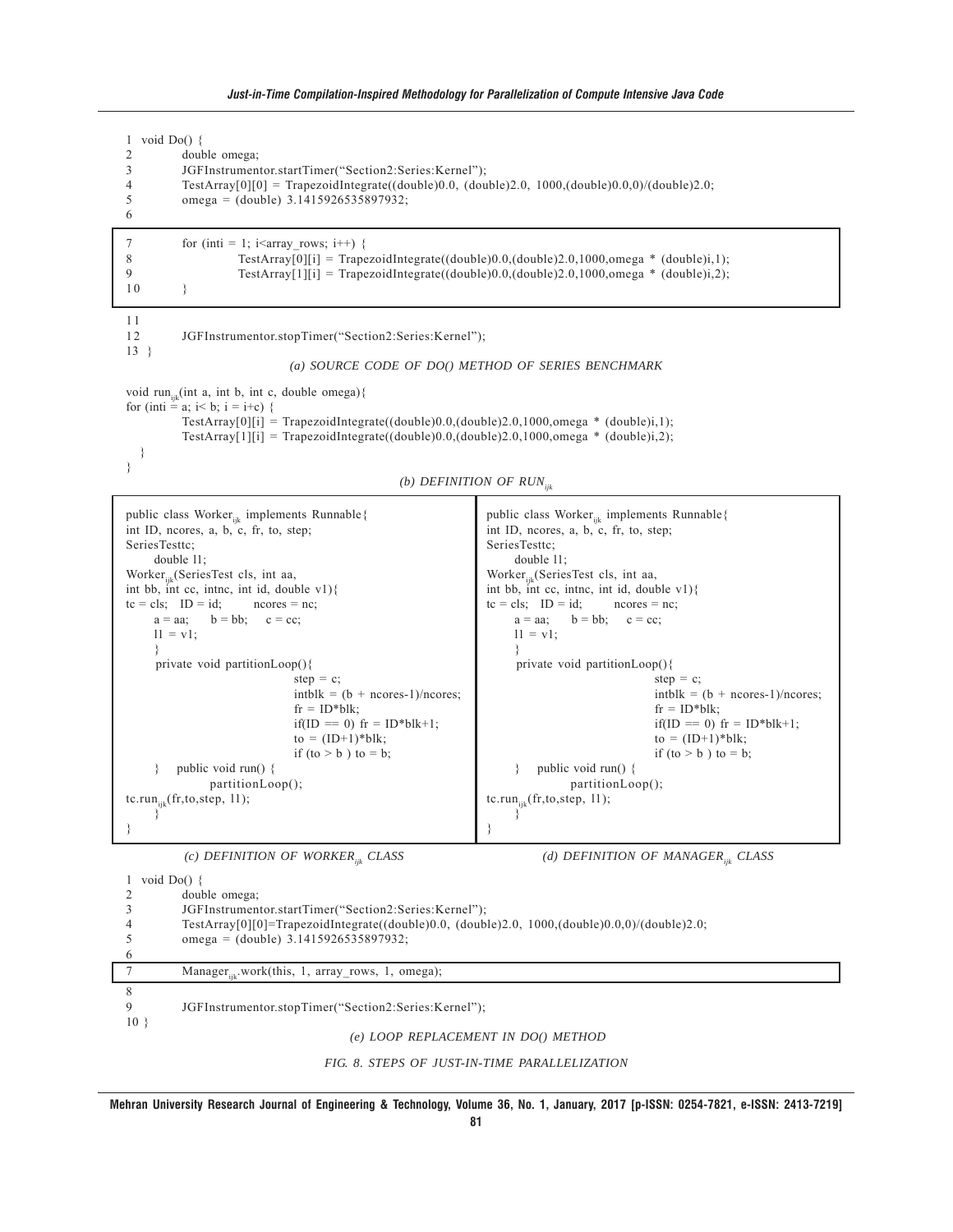#### *Just-in-Time Compilation-Inspired Methodology for Parallelization of Compute Intensive Java Code*

1 void Do() { 2 double omega;<br>3 JGFInstrumen 3 JGFInstrumentor.startTimer("Section2:Series:Kernel"); 4 TestArray[0][0] = TrapezoidIntegrate((double)0.0, (double)2.0, 1000,(double)0.0,0)/(double)2.0; 5 omega = (double) 3.1415926535897932; 6 7 for (inti = 1; i<array rows; i++) { 8 TestArray[0][i] = TrapezoidIntegrate((double)0.0,(double)2.0,1000,omega \* (double)i,1);<br>9 TestArray[1][i] = TranezoidIntegrate((double)0.0 (double)2.0,1000 omega \* (double)i.2); 9 TestArray[1][i] = TrapezoidIntegrate((double)0.0,(double)2.0,1000,omega \* (double)i,2); 10 } 1 1 12 JGFInstrumentor.stopTimer("Section2:Series:Kernel"); 13 } *(a) SOURCE CODE OF DO() METHOD OF SERIES BENCHMARK* void run<sub>ijk</sub>(int a, int b, int c, double omega){ for (inti = a; i< b; i = i+c) { TestArray $[0][i]$  = TrapezoidIntegrate((double)0.0,(double)2.0,1000,omega \* (double)i,1); TestArray[1][i] = TrapezoidIntegrate((double)0.0,(double)2.0,1000,omega \* (double)i,2); } } *(b) DEFINITION OF RUNijk*

```
public class Worker<sub>ijk</sub> implements Runnable{
int ID, ncores, a, b, c, fr, to, step;
SeriesTesttc;
    double l1;
Worker<sub>ik</sub>(SeriesTest cls, int aa,
int bb, int cc, intnc, int id, double v1){
tc = cls; ID = id; ncores = nc;
    a = aa; b = bb; c = cc;11 = v1;}
      private void partitionLoop(){
                              step = c;intblk = (b + ncores-1)/ncores;fr = ID^*blk;if(ID == 0) fr = ID^*blk+1;
                              to = (ID+1)*blk;if (to > b) to = b;
     } public void run() {
               partitionLoop();
tc.run_{ijk}(fr, to, step, 11);}
}
                                                                  public class Worker_{ijk} implements Runnable{
                                                                  int ID, ncores, a, b, c, fr, to, step;
                                                                  SeriesTesttc;
                                                                       double l1;
                                                                  Worker<sub>ik</sub>(SeriesTest cls, int aa,
                                                                  int bb, int cc, intnc, int id, double v1){
                                                                  tc = cls; ID = id; ncores = nc;
                                                                       a = aa; b = bb; c = cc;11 = v1;}
                                                                        private void partitionLoop(){
                                                                                                 step = c;intblk = (b + ncores-1)/ncores;fr = ID^*blk;if(ID == 0) fr = ID^*blk+1;
                                                                                                to = (ID+1)*blk;if (to > b) to = b;
                                                                       } public void run() {
                                                                                 partitionLoop();
                                                                  tc.run_{ijk}(fr,to,step, 11);
                                                                       }
                                                                  }
          (c) DEFINITION OF WORKERijk CLASS (d) DEFINITION OF MANAGERijk CLASS
1 void Do() {
2 double omega;
```

|                 | JGFInstrumentor.startTimer("Section2:Series:Kernel");                                         |
|-----------------|-----------------------------------------------------------------------------------------------|
|                 | TestArray[0][0]=TrapezoidIntegrate((double)0.0, (double)2.0, 1000,(double)0.0,0)/(double)2.0; |
|                 | omega = $(double)$ 3.1415926535897932;                                                        |
|                 |                                                                                               |
|                 | Manager <sub>ik</sub> .work(this, 1, array rows, 1, omega);                                   |
|                 |                                                                                               |
|                 | JGFInstrumentor.stopTimer("Section2:Series:Kernel");                                          |
| 10 <sup>3</sup> |                                                                                               |
|                 | (e) LOOP REPLACEMENT IN DO() METHOD                                                           |
|                 |                                                                                               |

*FIG. 8. STEPS OF JUST-IN-TIME PARALLELIZATION*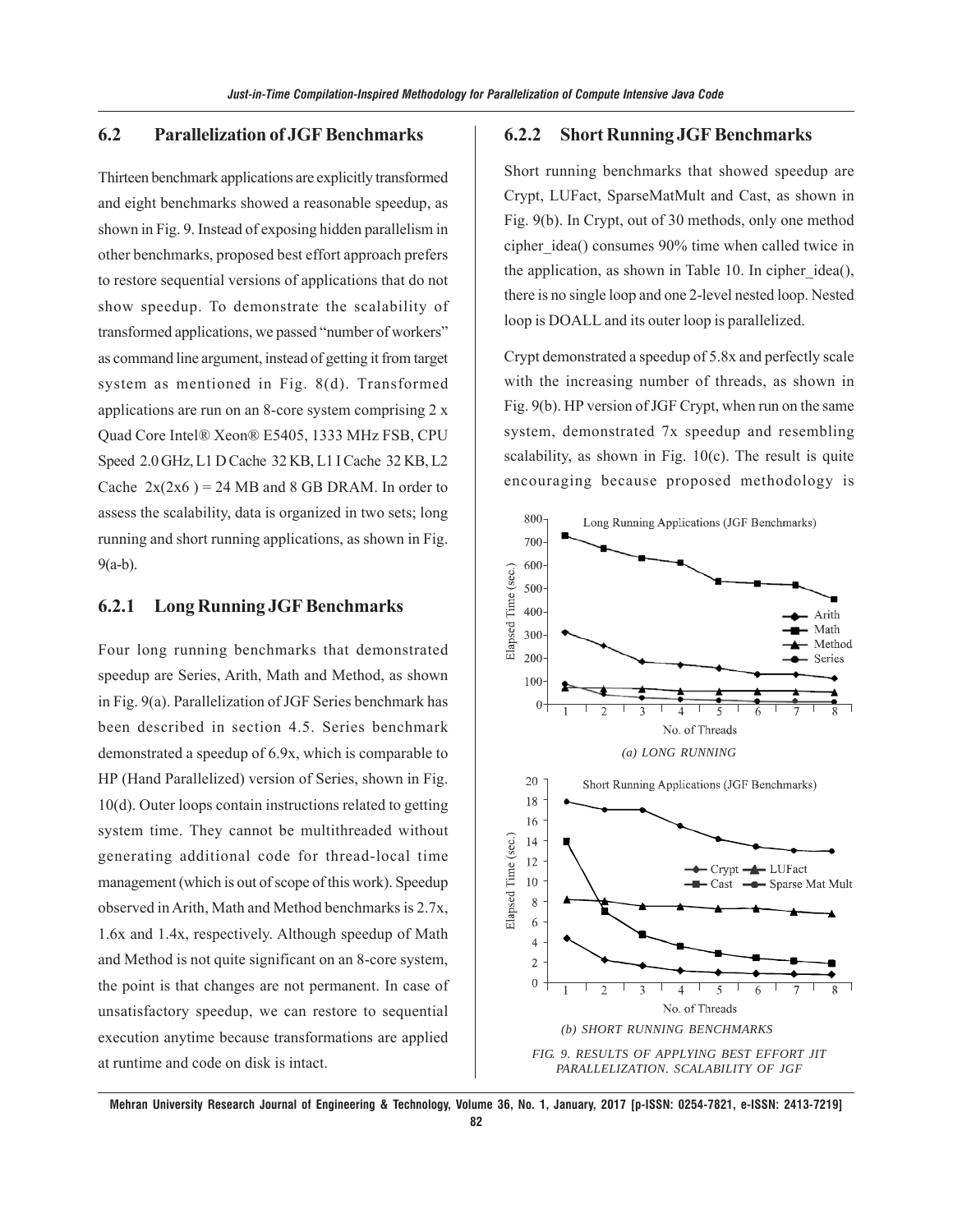#### **6.2 Parallelization of JGF Benchmarks**

Thirteen benchmark applications are explicitly transformed and eight benchmarks showed a reasonable speedup, as shown in Fig. 9. Instead of exposing hidden parallelism in other benchmarks, proposed best effort approach prefers to restore sequential versions of applications that do not show speedup. To demonstrate the scalability of transformed applications, we passed "number of workers" as command line argument, instead of getting it from target system as mentioned in Fig. 8(d). Transformed applications are run on an 8-core system comprising 2 x Quad Core Intel® Xeon® E5405, 1333 MHz FSB, CPU Speed 2.0 GHz, L1 D Cache 32 KB, L1 I Cache 32 KB, L2 Cache  $2x(2x6) = 24 MB$  and 8 GB DRAM. In order to assess the scalability, data is organized in two sets; long running and short running applications, as shown in Fig. 9(a-b).

## **6.2.1 Long Running JGF Benchmarks**

Four long running benchmarks that demonstrated speedup are Series, Arith, Math and Method, as shown in Fig. 9(a). Parallelization of JGF Series benchmark has been described in section 4.5. Series benchmark demonstrated a speedup of 6.9x, which is comparable to HP (Hand Parallelized) version of Series, shown in Fig. 10(d). Outer loops contain instructions related to getting system time. They cannot be multithreaded without generating additional code for thread-local time management (which is out of scope of this work). Speedup observed in Arith, Math and Method benchmarks is 2.7x, 1.6x and 1.4x, respectively. Although speedup of Math and Method is not quite significant on an 8-core system, the point is that changes are not permanent. In case of unsatisfactory speedup, we can restore to sequential execution anytime because transformations are applied at runtime and code on disk is intact.

#### **6.2.2 Short Running JGF Benchmarks**

Short running benchmarks that showed speedup are Crypt, LUFact, SparseMatMult and Cast, as shown in Fig. 9(b). In Crypt, out of 30 methods, only one method cipher\_idea() consumes 90% time when called twice in the application, as shown in Table 10. In cipher idea(), there is no single loop and one 2-level nested loop. Nested loop is DOALL and its outer loop is parallelized.

Crypt demonstrated a speedup of 5.8x and perfectly scale with the increasing number of threads, as shown in Fig. 9(b). HP version of JGF Crypt, when run on the same system, demonstrated 7x speedup and resembling scalability, as shown in Fig.  $10(c)$ . The result is quite encouraging because proposed methodology is

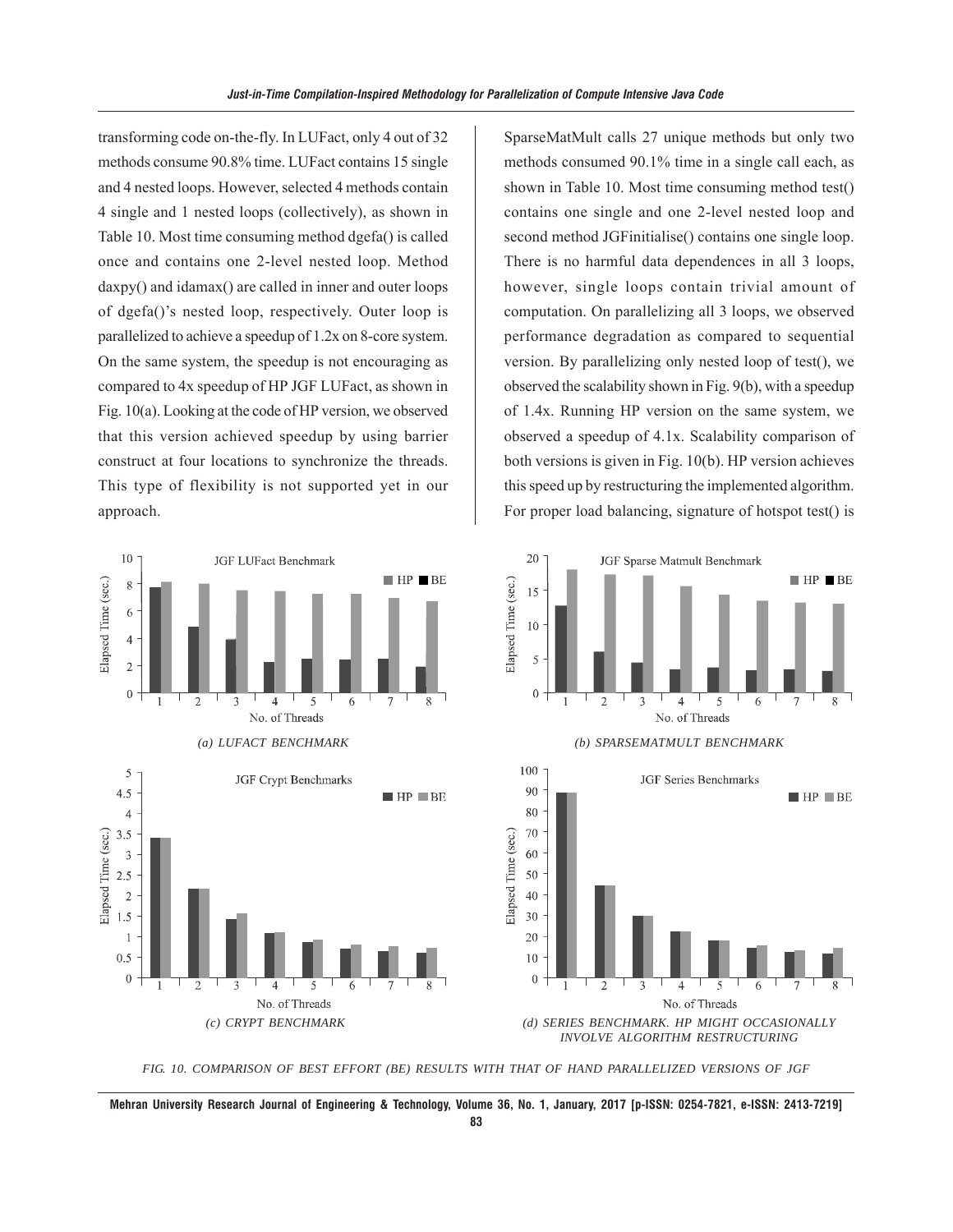transforming code on-the-fly. In LUFact, only 4 out of 32 methods consume 90.8% time. LUFact contains 15 single and 4 nested loops. However, selected 4 methods contain 4 single and 1 nested loops (collectively), as shown in Table 10. Most time consuming method dgefa() is called once and contains one 2-level nested loop. Method daxpy() and idamax() are called in inner and outer loops of dgefa()'s nested loop, respectively. Outer loop is parallelized to achieve a speedup of 1.2x on 8-core system. On the same system, the speedup is not encouraging as compared to 4x speedup of HP JGF LUFact, as shown in Fig. 10(a). Looking at the code of HP version, we observed that this version achieved speedup by using barrier construct at four locations to synchronize the threads. This type of flexibility is not supported yet in our approach.

SparseMatMult calls 27 unique methods but only two methods consumed 90.1% time in a single call each, as shown in Table 10. Most time consuming method test() contains one single and one 2-level nested loop and second method JGFinitialise() contains one single loop. There is no harmful data dependences in all 3 loops, however, single loops contain trivial amount of computation. On parallelizing all 3 loops, we observed performance degradation as compared to sequential version. By parallelizing only nested loop of test(), we observed the scalability shown in Fig. 9(b), with a speedup of 1.4x. Running HP version on the same system, we observed a speedup of 4.1x. Scalability comparison of both versions is given in Fig. 10(b). HP version achieves this speed up by restructuring the implemented algorithm. For proper load balancing, signature of hotspot test() is



*FIG. 10. COMPARISON OF BEST EFFORT (BE) RESULTS WITH THAT OF HAND PARALLELIZED VERSIONS OF JGF*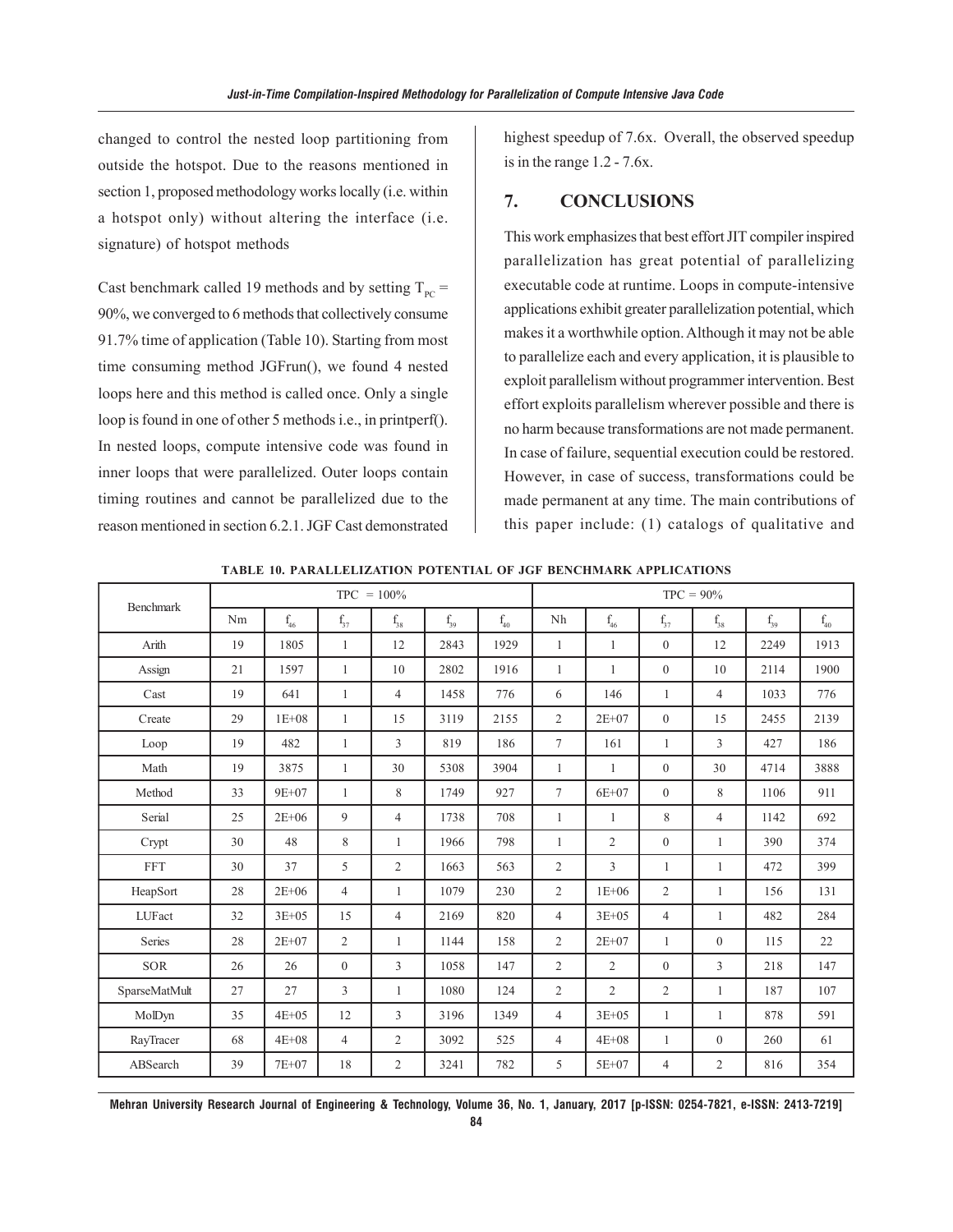changed to control the nested loop partitioning from outside the hotspot. Due to the reasons mentioned in section 1, proposed methodology works locally (i.e. within a hotspot only) without altering the interface (i.e. signature) of hotspot methods

Cast benchmark called 19 methods and by setting  $T_{pc}$  = 90%, we converged to 6 methods that collectively consume 91.7% time of application (Table 10). Starting from most time consuming method JGFrun(), we found 4 nested loops here and this method is called once. Only a single loop is found in one of other 5 methods i.e., in printperf(). In nested loops, compute intensive code was found in inner loops that were parallelized. Outer loops contain timing routines and cannot be parallelized due to the reason mentioned in section 6.2.1. JGF Cast demonstrated

highest speedup of 7.6x. Overall, the observed speedup is in the range 1.2 - 7.6x.

#### **7. CONCLUSIONS**

This work emphasizes that best effort JIT compiler inspired parallelization has great potential of parallelizing executable code at runtime. Loops in compute-intensive applications exhibit greater parallelization potential, which makes it a worthwhile option. Although it may not be able to parallelize each and every application, it is plausible to exploit parallelism without programmer intervention. Best effort exploits parallelism wherever possible and there is no harm because transformations are not made permanent. In case of failure, sequential execution could be restored. However, in case of success, transformations could be made permanent at any time. The main contributions of this paper include: (1) catalogs of qualitative and

| <b>Benchmark</b> | $TPC = 100\%$ |           |                   |                | $TPC = 90\%$ |          |                |                |                |                |          |              |
|------------------|---------------|-----------|-------------------|----------------|--------------|----------|----------------|----------------|----------------|----------------|----------|--------------|
|                  | Nm            | $f_{46}$  | $\mathrm{f}_{37}$ | $\rm f_{38}$   | $f_{39}$     | $f_{40}$ | Nh             | $\rm f_{46}$   | $f_{37}$       | $\rm f_{38}$   | $f_{39}$ | $\rm f_{40}$ |
| Arith            | 19            | 1805      | 1                 | 12             | 2843         | 1929     | $\mathbf{1}$   | 1              | $\overline{0}$ | 12             | 2249     | 1913         |
| Assign           | 21            | 1597      | $\mathbf{1}$      | 10             | 2802         | 1916     | 1              | $\mathbf{1}$   | $\overline{0}$ | 10             | 2114     | 1900         |
| Cast             | 19            | 641       | 1                 | $\overline{4}$ | 1458         | 776      | 6              | 146            | 1              | $\overline{4}$ | 1033     | 776          |
| Create           | 29            | $1E + 08$ | $\mathbf{1}$      | 15             | 3119         | 2155     | $\overline{2}$ | $2E + 07$      | $\overline{0}$ | 15             | 2455     | 2139         |
| Loop             | 19            | 482       | $\mathbf{1}$      | 3              | 819          | 186      | $\overline{7}$ | 161            | $\mathbf{1}$   | 3              | 427      | 186          |
| Math             | 19            | 3875      | $\mathbf{1}$      | 30             | 5308         | 3904     | $\mathbf{1}$   | $\mathbf{1}$   | $\overline{0}$ | 30             | 4714     | 3888         |
| Method           | 33            | 9E+07     | 1                 | 8              | 1749         | 927      | $\tau$         | $6E + 07$      | $\overline{0}$ | 8              | 1106     | 911          |
| Serial           | 25            | $2E + 06$ | 9                 | $\overline{4}$ | 1738         | 708      | 1              | 1              | 8              | $\overline{4}$ | 1142     | 692          |
| Crypt            | 30            | 48        | 8                 | 1              | 1966         | 798      | 1              | $\overline{2}$ | $\overline{0}$ | $\mathbf{1}$   | 390      | 374          |
| <b>FFT</b>       | 30            | 37        | 5                 | $\overline{2}$ | 1663         | 563      | $\overline{2}$ | 3              | $\mathbf{1}$   | $\mathbf{1}$   | 472      | 399          |
| HeapSort         | 28            | $2E + 06$ | 4                 | 1              | 1079         | 230      | $\overline{2}$ | $1E + 06$      | 2              | 1              | 156      | 131          |
| LUFact           | 32            | $3E + 05$ | 15                | $\overline{4}$ | 2169         | 820      | $\overline{4}$ | $3E + 05$      | $\overline{4}$ | $\mathbf{1}$   | 482      | 284          |
| Series           | 28            | $2E + 07$ | $\overline{2}$    | $\mathbf{1}$   | 1144         | 158      | $\overline{2}$ | $2E + 07$      | $\mathbf{1}$   | $\overline{0}$ | 115      | 22           |
| <b>SOR</b>       | 26            | 26        | $\mathbf{0}$      | 3              | 1058         | 147      | $\overline{2}$ | $\overline{2}$ | $\overline{0}$ | 3              | 218      | 147          |
| SparseMatMult    | 27            | 27        | 3                 | 1              | 1080         | 124      | $\overline{2}$ | $\overline{2}$ | $\overline{2}$ | 1              | 187      | 107          |
| MolDyn           | 35            | $4E + 05$ | 12                | 3              | 3196         | 1349     | $\overline{4}$ | $3E + 05$      | 1              | $\mathbf{1}$   | 878      | 591          |
| RayTracer        | 68            | $4E + 08$ | $\overline{4}$    | $\overline{2}$ | 3092         | 525      | $\overline{4}$ | $4E + 08$      | 1              | $\overline{0}$ | 260      | 61           |
| ABSearch         | 39            | 7E+07     | 18                | $\overline{2}$ | 3241         | 782      | 5              | $5E + 07$      | 4              | $\overline{2}$ | 816      | 354          |

**TABLE 10. PARALLELIZATION POTENTIAL OF JGF BENCHMARK APPLICATIONS**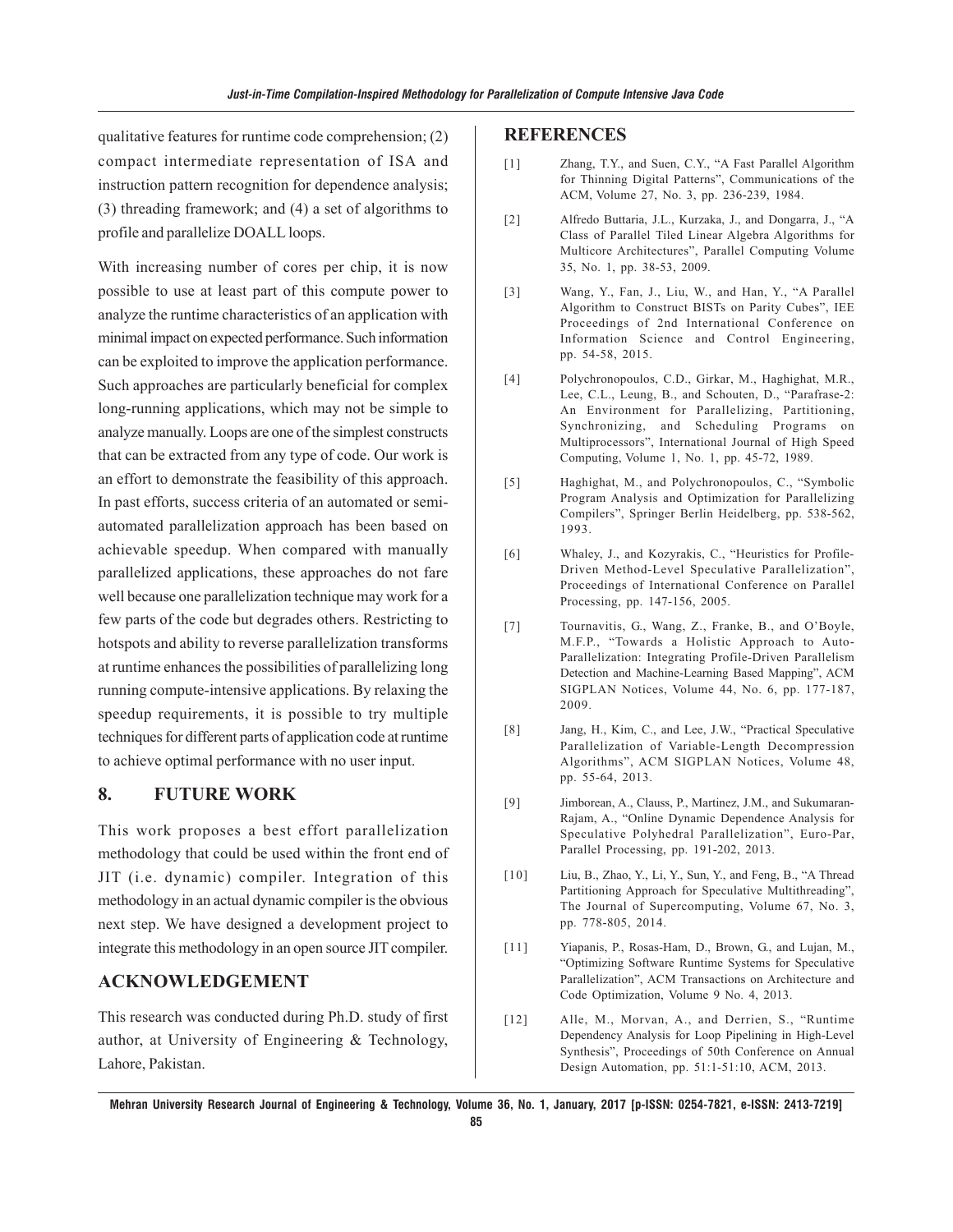qualitative features for runtime code comprehension; (2) compact intermediate representation of ISA and instruction pattern recognition for dependence analysis; (3) threading framework; and (4) a set of algorithms to profile and parallelize DOALL loops.

With increasing number of cores per chip, it is now possible to use at least part of this compute power to analyze the runtime characteristics of an application with minimal impact on expected performance. Such information can be exploited to improve the application performance. Such approaches are particularly beneficial for complex long-running applications, which may not be simple to analyze manually. Loops are one of the simplest constructs that can be extracted from any type of code. Our work is an effort to demonstrate the feasibility of this approach. In past efforts, success criteria of an automated or semiautomated parallelization approach has been based on achievable speedup. When compared with manually parallelized applications, these approaches do not fare well because one parallelization technique may work for a few parts of the code but degrades others. Restricting to hotspots and ability to reverse parallelization transforms at runtime enhances the possibilities of parallelizing long running compute-intensive applications. By relaxing the speedup requirements, it is possible to try multiple techniques for different parts of application code at runtime to achieve optimal performance with no user input.

## **8. FUTURE WORK**

This work proposes a best effort parallelization methodology that could be used within the front end of JIT (i.e. dynamic) compiler. Integration of this methodology in an actual dynamic compiler is the obvious next step. We have designed a development project to integrate this methodology in an open source JIT compiler.

#### **ACKNOWLEDGEMENT**

This research was conducted during Ph.D. study of first author, at University of Engineering & Technology, Lahore, Pakistan.

#### **REFERENCES**

- [1] Zhang, T.Y., and Suen, C.Y., "A Fast Parallel Algorithm for Thinning Digital Patterns", Communications of the ACM, Volume 27, No. 3, pp. 236-239, 1984.
- [2] Alfredo Buttaria, J.L., Kurzaka, J., and Dongarra, J., "A Class of Parallel Tiled Linear Algebra Algorithms for Multicore Architectures", Parallel Computing Volume 35, No. 1, pp. 38-53, 2009.
- [3] Wang, Y., Fan, J., Liu, W., and Han, Y., "A Parallel Algorithm to Construct BISTs on Parity Cubes", IEE Proceedings of 2nd International Conference on Information Science and Control Engineering, pp. 54-58, 2015.
- [4] Polychronopoulos, C.D., Girkar, M., Haghighat, M.R., Lee, C.L., Leung, B., and Schouten, D., "Parafrase-2: An Environment for Parallelizing, Partitioning, Synchronizing, and Scheduling Programs on Multiprocessors", International Journal of High Speed Computing, Volume 1, No. 1, pp. 45-72, 1989.
- [5] Haghighat, M., and Polychronopoulos, C., "Symbolic Program Analysis and Optimization for Parallelizing Compilers", Springer Berlin Heidelberg, pp. 538-562, 1993.
- [6] Whaley, J., and Kozyrakis, C., "Heuristics for Profile-Driven Method-Level Speculative Parallelization", Proceedings of International Conference on Parallel Processing, pp. 147-156, 2005.
- [7] Tournavitis, G., Wang, Z., Franke, B., and O'Boyle, M.F.P., "Towards a Holistic Approach to Auto-Parallelization: Integrating Profile-Driven Parallelism Detection and Machine-Learning Based Mapping", ACM SIGPLAN Notices, Volume 44, No. 6, pp. 177-187, 2009.
- [8] Jang, H., Kim, C., and Lee, J.W., "Practical Speculative Parallelization of Variable-Length Decompression Algorithms", ACM SIGPLAN Notices, Volume 48, pp. 55-64, 2013.
- [9] Jimborean, A., Clauss, P., Martinez, J.M., and Sukumaran-Rajam, A., "Online Dynamic Dependence Analysis for Speculative Polyhedral Parallelization", Euro-Par, Parallel Processing, pp. 191-202, 2013.
- [10] Liu, B., Zhao, Y., Li, Y., Sun, Y., and Feng, B., "A Thread Partitioning Approach for Speculative Multithreading", The Journal of Supercomputing, Volume 67, No. 3, pp. 778-805, 2014.
- [11] Yiapanis, P., Rosas-Ham, D., Brown, G., and Lujan, M., "Optimizing Software Runtime Systems for Speculative Parallelization", ACM Transactions on Architecture and Code Optimization, Volume 9 No. 4, 2013.
- [12] Alle, M., Morvan, A., and Derrien, S., "Runtime Dependency Analysis for Loop Pipelining in High-Level Synthesis", Proceedings of 50th Conference on Annual Design Automation, pp. 51:1-51:10, ACM, 2013.